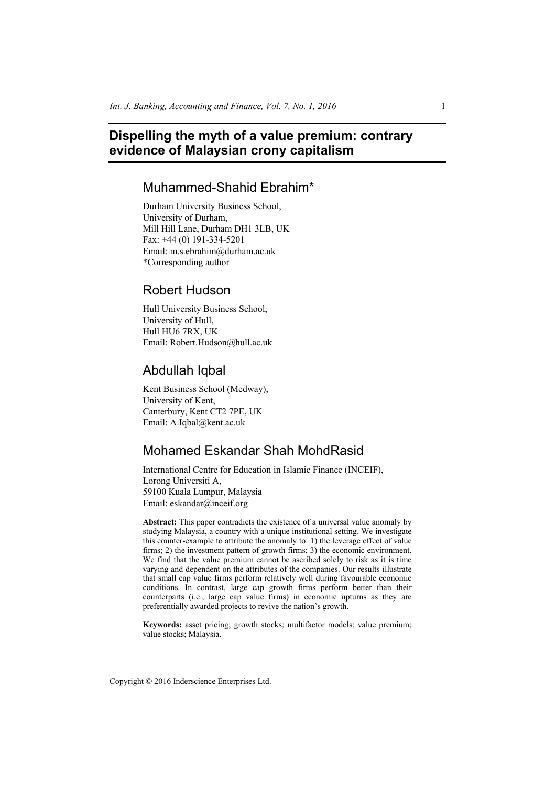# **Dispelling the myth of a value premium: contrary evidence of Malaysian crony capitalism**

# Muhammed-Shahid Ebrahim\*

Durham University Business School, University of Durham, Mill Hill Lane, Durham DH1 3LB, UK Fax: +44 (0) 191-334-5201 Email: m.s.ebrahim@durham.ac.uk \*Corresponding author

# Robert Hudson

Hull University Business School, University of Hull, Hull HU6 7RX, UK Email: Robert.Hudson@hull.ac.uk

## Abdullah Iqbal

Kent Business School (Medway), University of Kent, Canterbury, Kent CT2 7PE, UK Email: A.Iqbal@kent.ac.uk

# Mohamed Eskandar Shah MohdRasid

International Centre for Education in Islamic Finance (INCEIF), Lorong Universiti A, 59100 Kuala Lumpur, Malaysia Email: eskandar@inceif.org

**Abstract:** This paper contradicts the existence of a universal value anomaly by studying Malaysia, a country with a unique institutional setting. We investigate this counter-example to attribute the anomaly to: 1) the leverage effect of value firms; 2) the investment pattern of growth firms; 3) the economic environment. We find that the value premium cannot be ascribed solely to risk as it is time varying and dependent on the attributes of the companies. Our results illustrate that small cap value firms perform relatively well during favourable economic conditions. In contrast, large cap growth firms perform better than their counterparts (i.e., large cap value firms) in economic upturns as they are preferentially awarded projects to revive the nation's growth.

**Keywords:** asset pricing; growth stocks; multifactor models; value premium; value stocks; Malaysia.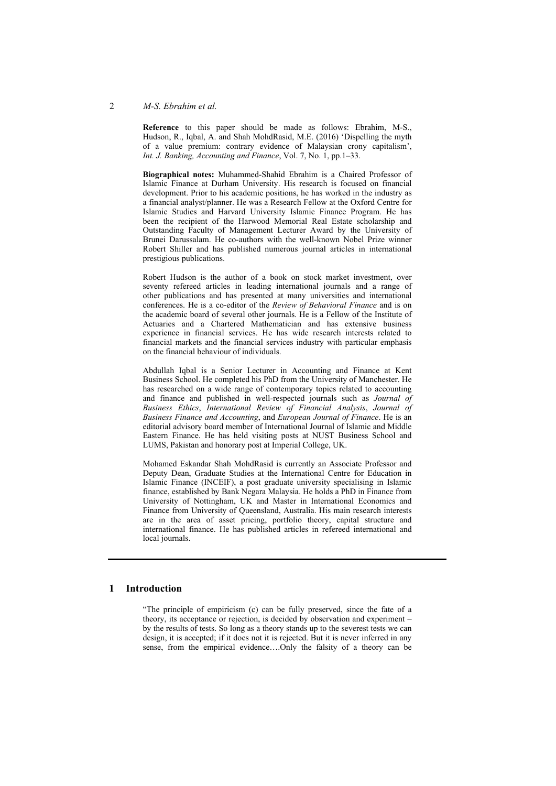**Reference** to this paper should be made as follows: Ebrahim, M-S., Hudson, R., Iqbal, A. and Shah MohdRasid, M.E. (2016) 'Dispelling the myth of a value premium: contrary evidence of Malaysian crony capitalism', *Int. J. Banking, Accounting and Finance*, Vol. 7, No. 1, pp.1–33.

**Biographical notes:** Muhammed-Shahid Ebrahim is a Chaired Professor of Islamic Finance at Durham University. His research is focused on financial development. Prior to his academic positions, he has worked in the industry as a financial analyst/planner. He was a Research Fellow at the Oxford Centre for Islamic Studies and Harvard University Islamic Finance Program. He has been the recipient of the Harwood Memorial Real Estate scholarship and Outstanding Faculty of Management Lecturer Award by the University of Brunei Darussalam. He co-authors with the well-known Nobel Prize winner Robert Shiller and has published numerous journal articles in international prestigious publications.

Robert Hudson is the author of a book on stock market investment, over seventy refereed articles in leading international journals and a range of other publications and has presented at many universities and international conferences. He is a co-editor of the *Review of Behavioral Finance* and is on the academic board of several other journals. He is a Fellow of the Institute of Actuaries and a Chartered Mathematician and has extensive business experience in financial services. He has wide research interests related to financial markets and the financial services industry with particular emphasis on the financial behaviour of individuals.

Abdullah Iqbal is a Senior Lecturer in Accounting and Finance at Kent Business School. He completed his PhD from the University of Manchester. He has researched on a wide range of contemporary topics related to accounting and finance and published in well-respected journals such as *Journal of Business Ethics*, *International Review of Financial Analysis*, *Journal of Business Finance and Accounting*, and *European Journal of Finance*. He is an editorial advisory board member of International Journal of Islamic and Middle Eastern Finance. He has held visiting posts at NUST Business School and LUMS, Pakistan and honorary post at Imperial College, UK.

Mohamed Eskandar Shah MohdRasid is currently an Associate Professor and Deputy Dean, Graduate Studies at the International Centre for Education in Islamic Finance (INCEIF), a post graduate university specialising in Islamic finance, established by Bank Negara Malaysia. He holds a PhD in Finance from University of Nottingham, UK and Master in International Economics and Finance from University of Queensland, Australia. His main research interests are in the area of asset pricing, portfolio theory, capital structure and international finance. He has published articles in refereed international and local journals.

## **1 Introduction**

"The principle of empiricism (c) can be fully preserved, since the fate of a theory, its acceptance or rejection, is decided by observation and experiment – by the results of tests. So long as a theory stands up to the severest tests we can design, it is accepted; if it does not it is rejected. But it is never inferred in any sense, from the empirical evidence….Only the falsity of a theory can be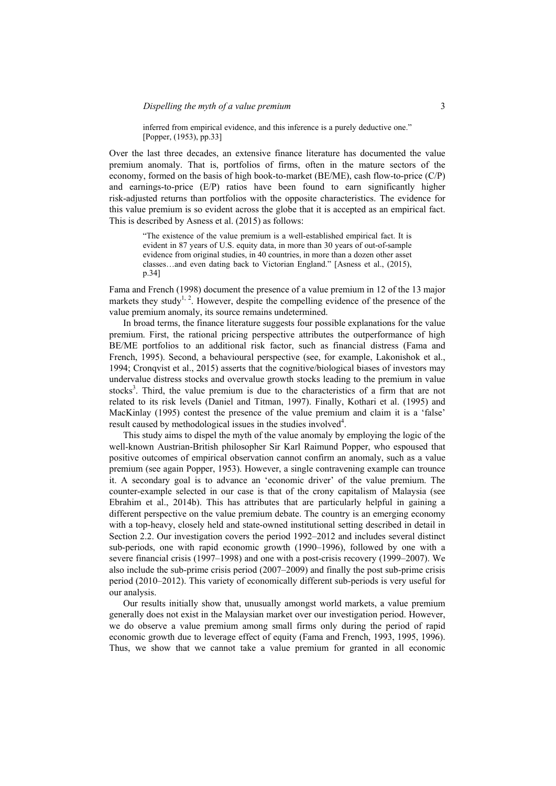inferred from empirical evidence, and this inference is a purely deductive one." [Popper, (1953), pp.33]

Over the last three decades, an extensive finance literature has documented the value premium anomaly. That is, portfolios of firms, often in the mature sectors of the economy, formed on the basis of high book-to-market (BE/ME), cash flow-to-price (C/P) and earnings-to-price (E/P) ratios have been found to earn significantly higher risk-adjusted returns than portfolios with the opposite characteristics. The evidence for this value premium is so evident across the globe that it is accepted as an empirical fact. This is described by Asness et al. (2015) as follows:

"The existence of the value premium is a well-established empirical fact. It is evident in 87 years of U.S. equity data, in more than 30 years of out-of-sample evidence from original studies, in 40 countries, in more than a dozen other asset classes…and even dating back to Victorian England." [Asness et al., (2015), p.34]

Fama and French (1998) document the presence of a value premium in 12 of the 13 major markets they study<sup>1, 2</sup>. However, despite the compelling evidence of the presence of the value premium anomaly, its source remains undetermined.

In broad terms, the finance literature suggests four possible explanations for the value premium. First, the rational pricing perspective attributes the outperformance of high BE/ME portfolios to an additional risk factor, such as financial distress (Fama and French, 1995). Second, a behavioural perspective (see, for example, Lakonishok et al., 1994; Cronqvist et al., 2015) asserts that the cognitive/biological biases of investors may undervalue distress stocks and overvalue growth stocks leading to the premium in value stocks<sup>3</sup>. Third, the value premium is due to the characteristics of a firm that are not related to its risk levels (Daniel and Titman, 1997). Finally, Kothari et al. (1995) and MacKinlay (1995) contest the presence of the value premium and claim it is a 'false' result caused by methodological issues in the studies involved<sup>4</sup>.

This study aims to dispel the myth of the value anomaly by employing the logic of the well-known Austrian-British philosopher Sir Karl Raimund Popper, who espoused that positive outcomes of empirical observation cannot confirm an anomaly, such as a value premium (see again Popper, 1953). However, a single contravening example can trounce it. A secondary goal is to advance an 'economic driver' of the value premium. The counter-example selected in our case is that of the crony capitalism of Malaysia (see Ebrahim et al., 2014b). This has attributes that are particularly helpful in gaining a different perspective on the value premium debate. The country is an emerging economy with a top-heavy, closely held and state-owned institutional setting described in detail in Section 2.2. Our investigation covers the period 1992–2012 and includes several distinct sub-periods, one with rapid economic growth (1990–1996), followed by one with a severe financial crisis (1997–1998) and one with a post-crisis recovery (1999–2007). We also include the sub-prime crisis period (2007–2009) and finally the post sub-prime crisis period (2010–2012). This variety of economically different sub-periods is very useful for our analysis.

Our results initially show that, unusually amongst world markets, a value premium generally does not exist in the Malaysian market over our investigation period. However, we do observe a value premium among small firms only during the period of rapid economic growth due to leverage effect of equity (Fama and French, 1993, 1995, 1996). Thus, we show that we cannot take a value premium for granted in all economic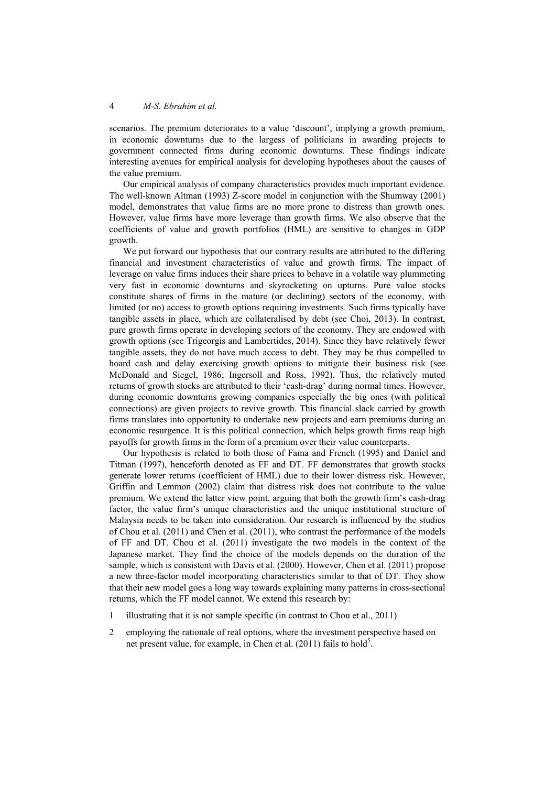scenarios. The premium deteriorates to a value 'discount', implying a growth premium, in economic downturns due to the largess of politicians in awarding projects to government connected firms during economic downturns. These findings indicate interesting avenues for empirical analysis for developing hypotheses about the causes of the value premium.

Our empirical analysis of company characteristics provides much important evidence. The well-known Altman (1993) Z-score model in conjunction with the Shumway (2001) model, demonstrates that value firms are no more prone to distress than growth ones. However, value firms have more leverage than growth firms. We also observe that the coefficients of value and growth portfolios (HML) are sensitive to changes in GDP growth.

We put forward our hypothesis that our contrary results are attributed to the differing financial and investment characteristics of value and growth firms. The impact of leverage on value firms induces their share prices to behave in a volatile way plummeting very fast in economic downturns and skyrocketing on upturns. Pure value stocks constitute shares of firms in the mature (or declining) sectors of the economy, with limited (or no) access to growth options requiring investments. Such firms typically have tangible assets in place, which are collateralised by debt (see Choi, 2013). In contrast, pure growth firms operate in developing sectors of the economy. They are endowed with growth options (see Trigeorgis and Lambertides, 2014). Since they have relatively fewer tangible assets, they do not have much access to debt. They may be thus compelled to hoard cash and delay exercising growth options to mitigate their business risk (see McDonald and Siegel, 1986; Ingersoll and Ross, 1992). Thus, the relatively muted returns of growth stocks are attributed to their 'cash-drag' during normal times. However, during economic downturns growing companies especially the big ones (with political connections) are given projects to revive growth. This financial slack carried by growth firms translates into opportunity to undertake new projects and earn premiums during an economic resurgence. It is this political connection, which helps growth firms reap high payoffs for growth firms in the form of a premium over their value counterparts.

Our hypothesis is related to both those of Fama and French (1995) and Daniel and Titman (1997), henceforth denoted as FF and DT. FF demonstrates that growth stocks generate lower returns (coefficient of HML) due to their lower distress risk. However, Griffin and Lemmon (2002) claim that distress risk does not contribute to the value premium. We extend the latter view point, arguing that both the growth firm's cash-drag factor, the value firm's unique characteristics and the unique institutional structure of Malaysia needs to be taken into consideration. Our research is influenced by the studies of Chou et al. (2011) and Chen et al. (2011), who contrast the performance of the models of FF and DT. Chou et al. (2011) investigate the two models in the context of the Japanese market. They find the choice of the models depends on the duration of the sample, which is consistent with Davis et al. (2000). However, Chen et al. (2011) propose a new three-factor model incorporating characteristics similar to that of DT. They show that their new model goes a long way towards explaining many patterns in cross-sectional returns, which the FF model cannot. We extend this research by:

- 1 illustrating that it is not sample specific (in contrast to Chou et al., 2011)
- 2 employing the rationale of real options, where the investment perspective based on net present value, for example, in Chen et al. (2011) fails to hold<sup>5</sup>.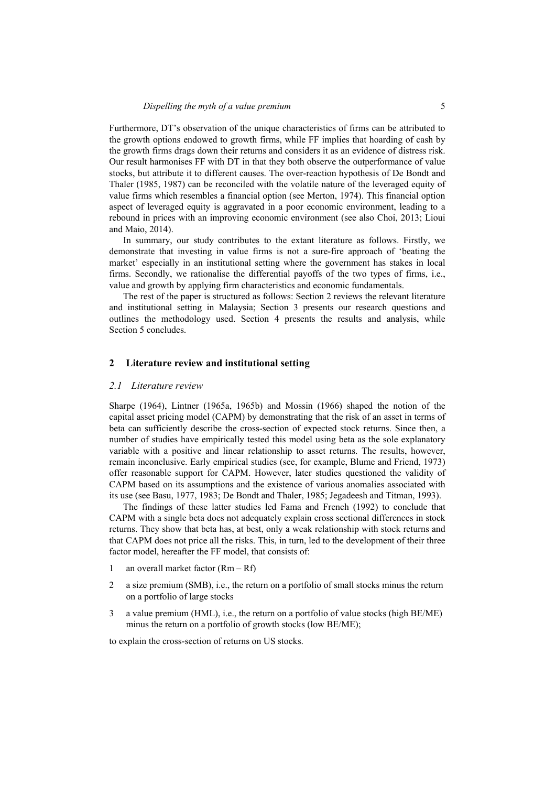Furthermore, DT's observation of the unique characteristics of firms can be attributed to the growth options endowed to growth firms, while FF implies that hoarding of cash by the growth firms drags down their returns and considers it as an evidence of distress risk. Our result harmonises FF with DT in that they both observe the outperformance of value stocks, but attribute it to different causes. The over-reaction hypothesis of De Bondt and Thaler (1985, 1987) can be reconciled with the volatile nature of the leveraged equity of value firms which resembles a financial option (see Merton, 1974). This financial option aspect of leveraged equity is aggravated in a poor economic environment, leading to a rebound in prices with an improving economic environment (see also Choi, 2013; Lioui and Maio, 2014).

In summary, our study contributes to the extant literature as follows. Firstly, we demonstrate that investing in value firms is not a sure-fire approach of 'beating the market' especially in an institutional setting where the government has stakes in local firms. Secondly, we rationalise the differential payoffs of the two types of firms, i.e., value and growth by applying firm characteristics and economic fundamentals.

The rest of the paper is structured as follows: Section 2 reviews the relevant literature and institutional setting in Malaysia; Section 3 presents our research questions and outlines the methodology used. Section 4 presents the results and analysis, while Section 5 concludes.

#### **2 Literature review and institutional setting**

#### *2.1 Literature review*

Sharpe (1964), Lintner (1965a, 1965b) and Mossin (1966) shaped the notion of the capital asset pricing model (CAPM) by demonstrating that the risk of an asset in terms of beta can sufficiently describe the cross-section of expected stock returns. Since then, a number of studies have empirically tested this model using beta as the sole explanatory variable with a positive and linear relationship to asset returns. The results, however, remain inconclusive. Early empirical studies (see, for example, Blume and Friend, 1973) offer reasonable support for CAPM. However, later studies questioned the validity of CAPM based on its assumptions and the existence of various anomalies associated with its use (see Basu, 1977, 1983; De Bondt and Thaler, 1985; Jegadeesh and Titman, 1993).

The findings of these latter studies led Fama and French (1992) to conclude that CAPM with a single beta does not adequately explain cross sectional differences in stock returns. They show that beta has, at best, only a weak relationship with stock returns and that CAPM does not price all the risks. This, in turn, led to the development of their three factor model, hereafter the FF model, that consists of:

- 1 an overall market factor (Rm Rf)
- 2 a size premium (SMB), i.e., the return on a portfolio of small stocks minus the return on a portfolio of large stocks
- 3 a value premium (HML), i.e., the return on a portfolio of value stocks (high BE/ME) minus the return on a portfolio of growth stocks (low BE/ME);

to explain the cross-section of returns on US stocks.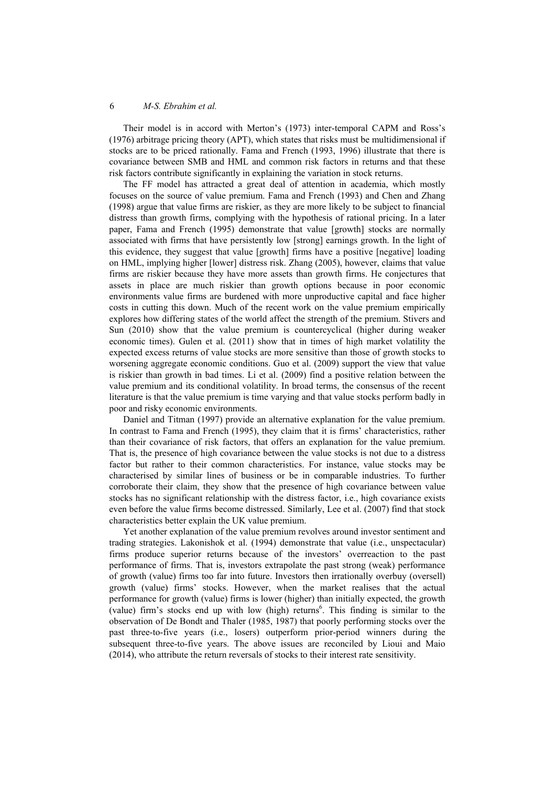Their model is in accord with Merton's (1973) inter-temporal CAPM and Ross's (1976) arbitrage pricing theory (APT), which states that risks must be multidimensional if stocks are to be priced rationally. Fama and French (1993, 1996) illustrate that there is covariance between SMB and HML and common risk factors in returns and that these risk factors contribute significantly in explaining the variation in stock returns.

The FF model has attracted a great deal of attention in academia, which mostly focuses on the source of value premium. Fama and French (1993) and Chen and Zhang (1998) argue that value firms are riskier, as they are more likely to be subject to financial distress than growth firms, complying with the hypothesis of rational pricing. In a later paper, Fama and French (1995) demonstrate that value [growth] stocks are normally associated with firms that have persistently low [strong] earnings growth. In the light of this evidence, they suggest that value [growth] firms have a positive [negative] loading on HML, implying higher [lower] distress risk. Zhang (2005), however, claims that value firms are riskier because they have more assets than growth firms. He conjectures that assets in place are much riskier than growth options because in poor economic environments value firms are burdened with more unproductive capital and face higher costs in cutting this down. Much of the recent work on the value premium empirically explores how differing states of the world affect the strength of the premium. Stivers and Sun (2010) show that the value premium is countercyclical (higher during weaker economic times). Gulen et al. (2011) show that in times of high market volatility the expected excess returns of value stocks are more sensitive than those of growth stocks to worsening aggregate economic conditions. Guo et al. (2009) support the view that value is riskier than growth in bad times. Li et al. (2009) find a positive relation between the value premium and its conditional volatility. In broad terms, the consensus of the recent literature is that the value premium is time varying and that value stocks perform badly in poor and risky economic environments.

Daniel and Titman (1997) provide an alternative explanation for the value premium. In contrast to Fama and French (1995), they claim that it is firms' characteristics, rather than their covariance of risk factors, that offers an explanation for the value premium. That is, the presence of high covariance between the value stocks is not due to a distress factor but rather to their common characteristics. For instance, value stocks may be characterised by similar lines of business or be in comparable industries. To further corroborate their claim, they show that the presence of high covariance between value stocks has no significant relationship with the distress factor, i.e., high covariance exists even before the value firms become distressed. Similarly, Lee et al. (2007) find that stock characteristics better explain the UK value premium.

Yet another explanation of the value premium revolves around investor sentiment and trading strategies. Lakonishok et al. (1994) demonstrate that value (i.e., unspectacular) firms produce superior returns because of the investors' overreaction to the past performance of firms. That is, investors extrapolate the past strong (weak) performance of growth (value) firms too far into future. Investors then irrationally overbuy (oversell) growth (value) firms' stocks. However, when the market realises that the actual performance for growth (value) firms is lower (higher) than initially expected, the growth (value) firm's stocks end up with low (high) returns<sup>6</sup>. This finding is similar to the observation of De Bondt and Thaler (1985, 1987) that poorly performing stocks over the past three-to-five years (i.e., losers) outperform prior-period winners during the subsequent three-to-five years. The above issues are reconciled by Lioui and Maio (2014), who attribute the return reversals of stocks to their interest rate sensitivity.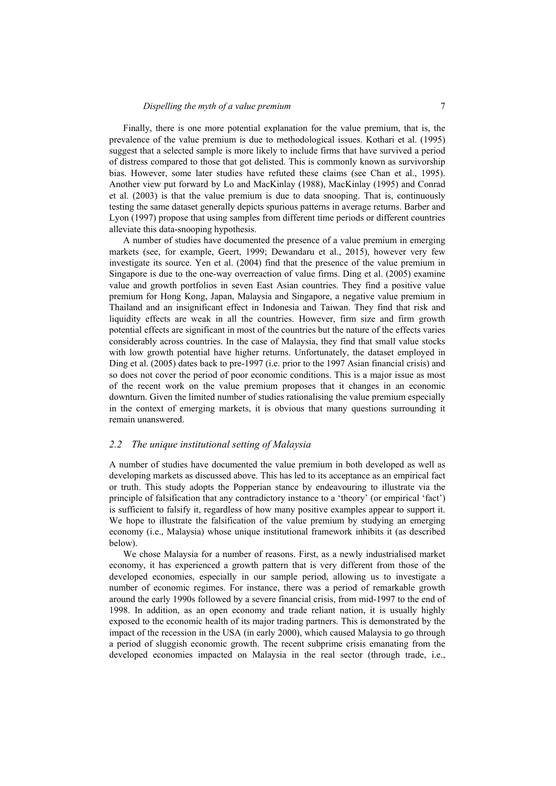Finally, there is one more potential explanation for the value premium, that is, the prevalence of the value premium is due to methodological issues. Kothari et al. (1995) suggest that a selected sample is more likely to include firms that have survived a period of distress compared to those that got delisted. This is commonly known as survivorship bias. However, some later studies have refuted these claims (see Chan et al., 1995). Another view put forward by Lo and MacKinlay (1988), MacKinlay (1995) and Conrad et al. (2003) is that the value premium is due to data snooping. That is, continuously testing the same dataset generally depicts spurious patterns in average returns. Barber and Lyon (1997) propose that using samples from different time periods or different countries alleviate this data-snooping hypothesis.

A number of studies have documented the presence of a value premium in emerging markets (see, for example, Geert, 1999; Dewandaru et al., 2015), however very few investigate its source. Yen et al. (2004) find that the presence of the value premium in Singapore is due to the one-way overreaction of value firms. Ding et al. (2005) examine value and growth portfolios in seven East Asian countries. They find a positive value premium for Hong Kong, Japan, Malaysia and Singapore, a negative value premium in Thailand and an insignificant effect in Indonesia and Taiwan. They find that risk and liquidity effects are weak in all the countries. However, firm size and firm growth potential effects are significant in most of the countries but the nature of the effects varies considerably across countries. In the case of Malaysia, they find that small value stocks with low growth potential have higher returns. Unfortunately, the dataset employed in Ding et al. (2005) dates back to pre-1997 (i.e. prior to the 1997 Asian financial crisis) and so does not cover the period of poor economic conditions. This is a major issue as most of the recent work on the value premium proposes that it changes in an economic downturn. Given the limited number of studies rationalising the value premium especially in the context of emerging markets, it is obvious that many questions surrounding it remain unanswered.

#### *2.2 The unique institutional setting of Malaysia*

A number of studies have documented the value premium in both developed as well as developing markets as discussed above. This has led to its acceptance as an empirical fact or truth. This study adopts the Popperian stance by endeavouring to illustrate via the principle of falsification that any contradictory instance to a 'theory' (or empirical 'fact') is sufficient to falsify it, regardless of how many positive examples appear to support it. We hope to illustrate the falsification of the value premium by studying an emerging economy (i.e., Malaysia) whose unique institutional framework inhibits it (as described below).

We chose Malaysia for a number of reasons. First, as a newly industrialised market economy, it has experienced a growth pattern that is very different from those of the developed economies, especially in our sample period, allowing us to investigate a number of economic regimes. For instance, there was a period of remarkable growth around the early 1990s followed by a severe financial crisis, from mid-1997 to the end of 1998. In addition, as an open economy and trade reliant nation, it is usually highly exposed to the economic health of its major trading partners. This is demonstrated by the impact of the recession in the USA (in early 2000), which caused Malaysia to go through a period of sluggish economic growth. The recent subprime crisis emanating from the developed economies impacted on Malaysia in the real sector (through trade, i.e.,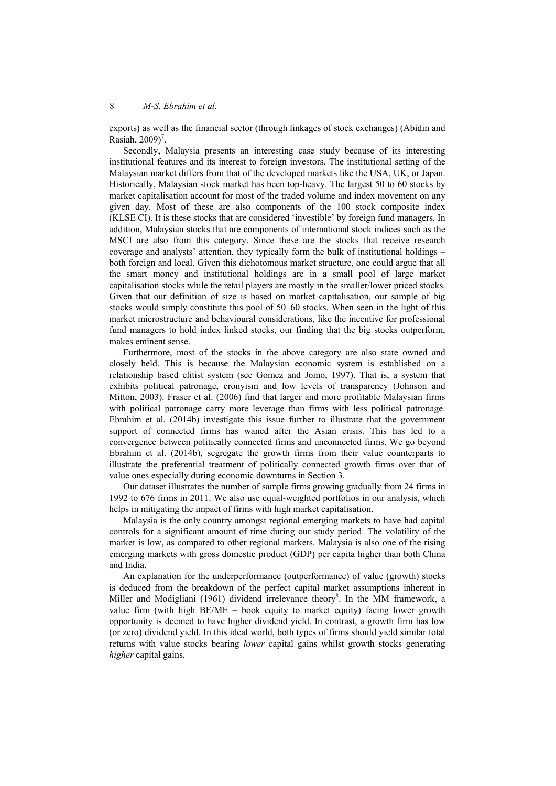exports) as well as the financial sector (through linkages of stock exchanges) (Abidin and Rasiah,  $2009$ <sup>7</sup>.

Secondly, Malaysia presents an interesting case study because of its interesting institutional features and its interest to foreign investors. The institutional setting of the Malaysian market differs from that of the developed markets like the USA, UK, or Japan. Historically, Malaysian stock market has been top-heavy. The largest 50 to 60 stocks by market capitalisation account for most of the traded volume and index movement on any given day. Most of these are also components of the 100 stock composite index (KLSE CI). It is these stocks that are considered 'investible' by foreign fund managers. In addition, Malaysian stocks that are components of international stock indices such as the MSCI are also from this category. Since these are the stocks that receive research coverage and analysts' attention, they typically form the bulk of institutional holdings – both foreign and local. Given this dichotomous market structure, one could argue that all the smart money and institutional holdings are in a small pool of large market capitalisation stocks while the retail players are mostly in the smaller/lower priced stocks. Given that our definition of size is based on market capitalisation, our sample of big stocks would simply constitute this pool of 50–60 stocks. When seen in the light of this market microstructure and behavioural considerations, like the incentive for professional fund managers to hold index linked stocks, our finding that the big stocks outperform, makes eminent sense.

Furthermore, most of the stocks in the above category are also state owned and closely held. This is because the Malaysian economic system is established on a relationship based elitist system (see Gomez and Jomo, 1997). That is, a system that exhibits political patronage, cronyism and low levels of transparency (Johnson and Mitton, 2003). Fraser et al. (2006) find that larger and more profitable Malaysian firms with political patronage carry more leverage than firms with less political patronage. Ebrahim et al. (2014b) investigate this issue further to illustrate that the government support of connected firms has waned after the Asian crisis. This has led to a convergence between politically connected firms and unconnected firms. We go beyond Ebrahim et al. (2014b), segregate the growth firms from their value counterparts to illustrate the preferential treatment of politically connected growth firms over that of value ones especially during economic downturns in Section 3.

Our dataset illustrates the number of sample firms growing gradually from 24 firms in 1992 to 676 firms in 2011. We also use equal-weighted portfolios in our analysis, which helps in mitigating the impact of firms with high market capitalisation.

Malaysia is the only country amongst regional emerging markets to have had capital controls for a significant amount of time during our study period. The volatility of the market is low, as compared to other regional markets. Malaysia is also one of the rising emerging markets with gross domestic product (GDP) per capita higher than both China and India.

An explanation for the underperformance (outperformance) of value (growth) stocks is deduced from the breakdown of the perfect capital market assumptions inherent in Miller and Modigliani (1961) dividend irrelevance theory<sup>8</sup>. In the MM framework, a value firm (with high BE/ME – book equity to market equity) facing lower growth opportunity is deemed to have higher dividend yield. In contrast, a growth firm has low (or zero) dividend yield. In this ideal world, both types of firms should yield similar total returns with value stocks bearing *lower* capital gains whilst growth stocks generating *higher* capital gains.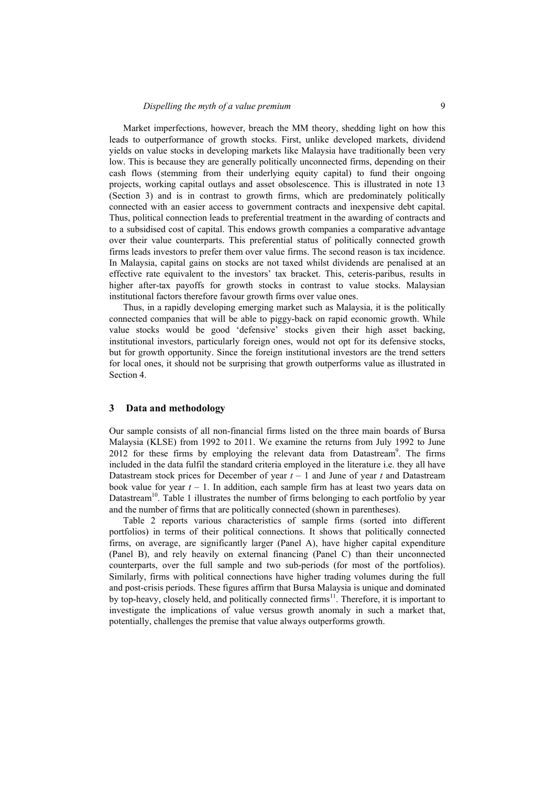Market imperfections, however, breach the MM theory, shedding light on how this leads to outperformance of growth stocks. First, unlike developed markets, dividend yields on value stocks in developing markets like Malaysia have traditionally been very low. This is because they are generally politically unconnected firms, depending on their cash flows (stemming from their underlying equity capital) to fund their ongoing projects, working capital outlays and asset obsolescence. This is illustrated in note 13 (Section 3) and is in contrast to growth firms, which are predominately politically connected with an easier access to government contracts and inexpensive debt capital. Thus, political connection leads to preferential treatment in the awarding of contracts and to a subsidised cost of capital. This endows growth companies a comparative advantage over their value counterparts. This preferential status of politically connected growth firms leads investors to prefer them over value firms. The second reason is tax incidence. In Malaysia, capital gains on stocks are not taxed whilst dividends are penalised at an effective rate equivalent to the investors' tax bracket. This, ceteris-paribus, results in higher after-tax payoffs for growth stocks in contrast to value stocks. Malaysian institutional factors therefore favour growth firms over value ones.

Thus, in a rapidly developing emerging market such as Malaysia, it is the politically connected companies that will be able to piggy-back on rapid economic growth. While value stocks would be good 'defensive' stocks given their high asset backing, institutional investors, particularly foreign ones, would not opt for its defensive stocks, but for growth opportunity. Since the foreign institutional investors are the trend setters for local ones, it should not be surprising that growth outperforms value as illustrated in Section 4.

#### **3 Data and methodology**

Our sample consists of all non-financial firms listed on the three main boards of Bursa Malaysia (KLSE) from 1992 to 2011. We examine the returns from July 1992 to June  $2012$  for these firms by employing the relevant data from Datastream<sup>9</sup>. The firms included in the data fulfil the standard criteria employed in the literature i.e. they all have Datastream stock prices for December of year  $t-1$  and June of year  $t$  and Datastream book value for year  $t - 1$ . In addition, each sample firm has at least two years data on Datastream<sup>10</sup>. Table 1 illustrates the number of firms belonging to each portfolio by year and the number of firms that are politically connected (shown in parentheses).

Table 2 reports various characteristics of sample firms (sorted into different portfolios) in terms of their political connections. It shows that politically connected firms, on average, are significantly larger (Panel A), have higher capital expenditure (Panel B), and rely heavily on external financing (Panel C) than their unconnected counterparts, over the full sample and two sub-periods (for most of the portfolios). Similarly, firms with political connections have higher trading volumes during the full and post-crisis periods. These figures affirm that Bursa Malaysia is unique and dominated by top-heavy, closely held, and politically connected firms<sup>11</sup>. Therefore, it is important to investigate the implications of value versus growth anomaly in such a market that, potentially, challenges the premise that value always outperforms growth.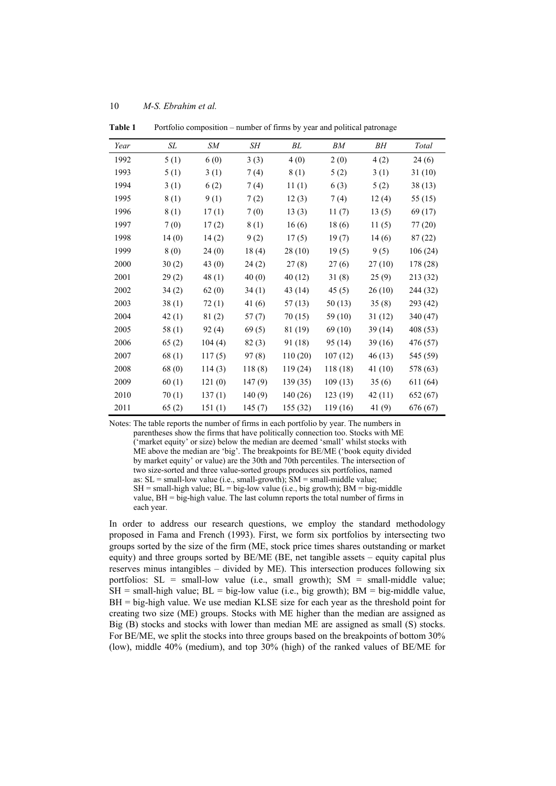| Year | SL     | SМ       | SН     | BL       | BМ       | BН      | Total    |
|------|--------|----------|--------|----------|----------|---------|----------|
| 1992 | 5(1)   | 6(0)     | 3(3)   | 4(0)     | 2(0)     | 4(2)    | 24(6)    |
| 1993 | 5(1)   | 3(1)     | 7(4)   | 8(1)     | 5(2)     | 3(1)    | 31(10)   |
| 1994 | 3(1)   | 6(2)     | 7(4)   | 11(1)    | 6(3)     | 5(2)    | 38(13)   |
| 1995 | 8(1)   | 9(1)     | 7(2)   | 12(3)    | 7(4)     | 12(4)   | 55 (15)  |
| 1996 | 8(1)   | 17(1)    | 7(0)   | 13(3)    | 11(7)    | 13(5)   | 69 (17)  |
| 1997 | 7(0)   | 17(2)    | 8(1)   | 16(6)    | 18(6)    | 11(5)   | 77 (20)  |
| 1998 | 14(0)  | 14(2)    | 9(2)   | 17(5)    | 19(7)    | 14(6)   | 87(22)   |
| 1999 | 8(0)   | 24(0)    | 18(4)  | 28(10)   | 19(5)    | 9(5)    | 106(24)  |
| 2000 | 30(2)  | 43 $(0)$ | 24(2)  | 27(8)    | 27(6)    | 27(10)  | 178 (28) |
| 2001 | 29(2)  | 48(1)    | 40(0)  | 40 (12)  | 31(8)    | 25(9)   | 213 (32) |
| 2002 | 34(2)  | 62(0)    | 34(1)  | 43 (14)  | 45(5)    | 26(10)  | 244 (32) |
| 2003 | 38(1)  | 72(1)    | 41(6)  | 57(13)   | 50(13)   | 35(8)   | 293 (42) |
| 2004 | 42(1)  | 81(2)    | 57(7)  | 70 (15)  | 59 (10)  | 31 (12) | 340 (47) |
| 2005 | 58(1)  | 92(4)    | 69(5)  | 81 (19)  | 69(10)   | 39(14)  | 408 (53) |
| 2006 | 65(2)  | 104(4)   | 82(3)  | 91 (18)  | 95 (14)  | 39(16)  | 476 (57) |
| 2007 | 68(1)  | 117(5)   | 97(8)  | 110(20)  | 107(12)  | 46(13)  | 545 (59) |
| 2008 | 68 (0) | 114(3)   | 118(8) | 119 (24) | 118 (18) | 41(10)  | 578 (63) |
| 2009 | 60(1)  | 121(0)   | 147(9) | 139 (35) | 109(13)  | 35(6)   | 611 (64) |
| 2010 | 70(1)  | 137(1)   | 140(9) | 140 (26) | 123(19)  | 42(11)  | 652 (67) |
| 2011 | 65(2)  | 151(1)   | 145(7) | 155 (32) | 119(16)  | 41(9)   | 676 (67) |

10 *M-S. Ebrahim et al.* 

**Table 1** Portfolio composition – number of firms by year and political patronage

Notes: The table reports the number of firms in each portfolio by year. The numbers in parentheses show the firms that have politically connection too. Stocks with ME ('market equity' or size) below the median are deemed 'small' whilst stocks with ME above the median are 'big'. The breakpoints for BE/ME ('book equity divided by market equity' or value) are the 30th and 70th percentiles. The intersection of two size-sorted and three value-sorted groups produces six portfolios, named as:  $SL =$  small-low value (i.e., small-growth);  $SM =$  small-middle value;  $SH = small$ -high value;  $BL = big$ -low value (i.e., big growth);  $BM = big$ -middle value, BH = big-high value. The last column reports the total number of firms in each year.

In order to address our research questions, we employ the standard methodology proposed in Fama and French (1993). First, we form six portfolios by intersecting two groups sorted by the size of the firm (ME, stock price times shares outstanding or market equity) and three groups sorted by BE/ME (BE, net tangible assets – equity capital plus reserves minus intangibles – divided by ME). This intersection produces following six portfolios:  $SL = small$ -low value (i.e., small growth);  $SM = small$ -middle value;  $SH =$  small-high value;  $BL =$  big-low value (i.e., big growth);  $BM =$  big-middle value, BH = big-high value. We use median KLSE size for each year as the threshold point for creating two size (ME) groups. Stocks with ME higher than the median are assigned as Big (B) stocks and stocks with lower than median ME are assigned as small (S) stocks. For BE/ME, we split the stocks into three groups based on the breakpoints of bottom 30% (low), middle 40% (medium), and top 30% (high) of the ranked values of BE/ME for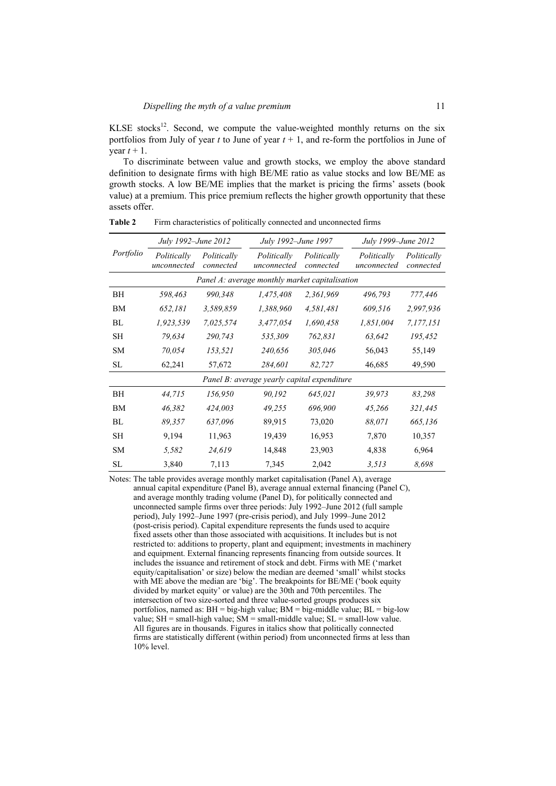KLSE stocks<sup>12</sup>. Second, we compute the value-weighted monthly returns on the six portfolios from July of year *t* to June of year  $t + 1$ , and re-form the portfolios in June of year  $t + 1$ .

To discriminate between value and growth stocks, we employ the above standard definition to designate firms with high BE/ME ratio as value stocks and low BE/ME as growth stocks. A low BE/ME implies that the market is pricing the firms' assets (book value) at a premium. This price premium reflects the higher growth opportunity that these assets offer.

|                                                | July 1992-June 2012        |                          | July 1992–June 1997                         |                          | July 1999–June 2012        |                          |  |  |  |  |  |
|------------------------------------------------|----------------------------|--------------------------|---------------------------------------------|--------------------------|----------------------------|--------------------------|--|--|--|--|--|
| Portfolio                                      | Politically<br>unconnected | Politically<br>connected | Politically<br>unconnected                  | Politically<br>connected | Politically<br>unconnected | Politically<br>connected |  |  |  |  |  |
| Panel A: average monthly market capitalisation |                            |                          |                                             |                          |                            |                          |  |  |  |  |  |
| BH                                             | 598,463                    | 990,348                  | 1,475,408                                   | 2,361,969                | 496,793                    | 777,446                  |  |  |  |  |  |
| <b>BM</b>                                      | 652,181                    | 3,589,859                | 1,388,960                                   | 4,581,481                | 609,516                    | 2,997,936                |  |  |  |  |  |
| BL                                             | 1,923,539                  | 7,025,574                | 3,477,054                                   | 1,690,458                | 1,851,004                  | 7,177,151                |  |  |  |  |  |
| <b>SH</b>                                      | 79,634                     | 290,743                  | 535,309                                     | 762,831                  | 63,642                     | 195,452                  |  |  |  |  |  |
| <b>SM</b>                                      | 70,054                     | 153,521                  | 240,656                                     | 305,046                  | 56,043                     | 55,149                   |  |  |  |  |  |
| SL                                             | 62,241                     | 57,672                   | 284,601                                     | 82,727                   | 46,685                     | 49,590                   |  |  |  |  |  |
|                                                |                            |                          | Panel B: average yearly capital expenditure |                          |                            |                          |  |  |  |  |  |
| ВH                                             | 44,715                     | 156,950                  | 90.192                                      | 645,021                  | 39,973                     | 83,298                   |  |  |  |  |  |
| BM                                             | 46,382                     | 424,003                  | 49,255                                      | 696,900                  | 45,266                     | 321,445                  |  |  |  |  |  |
| BL                                             | 89,357                     | 637,096                  | 89,915                                      | 73,020                   | 88,071                     | 665,136                  |  |  |  |  |  |
| <b>SH</b>                                      | 9,194                      | 11,963                   | 19,439                                      | 16,953                   | 7,870                      | 10,357                   |  |  |  |  |  |
| <b>SM</b>                                      | 5,582                      | 24,619                   | 14,848                                      | 23,903                   | 4,838                      | 6,964                    |  |  |  |  |  |
| SL                                             | 3,840                      | 7,113                    | 7,345                                       | 2,042                    | 3,513                      | 8,698                    |  |  |  |  |  |

**Table 2** Firm characteristics of politically connected and unconnected firms

Notes: The table provides average monthly market capitalisation (Panel A), average annual capital expenditure (Panel B), average annual external financing (Panel C), and average monthly trading volume (Panel D), for politically connected and unconnected sample firms over three periods: July 1992–June 2012 (full sample period), July 1992–June 1997 (pre-crisis period), and July 1999–June 2012 (post-crisis period). Capital expenditure represents the funds used to acquire fixed assets other than those associated with acquisitions. It includes but is not restricted to: additions to property, plant and equipment; investments in machinery and equipment. External financing represents financing from outside sources. It includes the issuance and retirement of stock and debt. Firms with ME ('market equity/capitalisation' or size) below the median are deemed 'small' whilst stocks with ME above the median are 'big'. The breakpoints for BE/ME ('book equity divided by market equity' or value) are the 30th and 70th percentiles. The intersection of two size-sorted and three value-sorted groups produces six portfolios, named as:  $BH = big$ -high value;  $BM = big$ -middle value;  $BL = big$ -low value;  $SH = \text{small-high value}$ ;  $SM = \text{small-middle value}$ ;  $SL = \text{small-low value}$ . All figures are in thousands. Figures in italics show that politically connected firms are statistically different (within period) from unconnected firms at less than 10% level.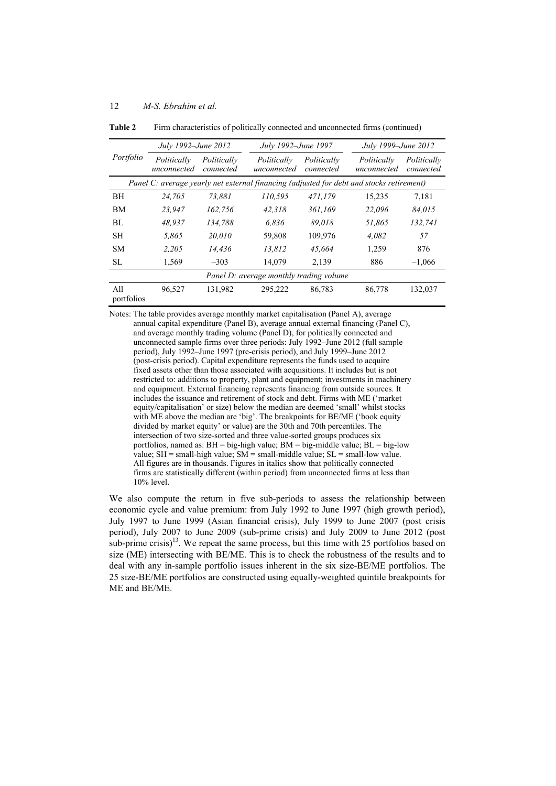|                                                                                          | July 1992–June 2012        |                          | July 1992–June 1997        |                          | July 1999–June 2012        |                          |  |  |  |  |
|------------------------------------------------------------------------------------------|----------------------------|--------------------------|----------------------------|--------------------------|----------------------------|--------------------------|--|--|--|--|
| Portfolio                                                                                | Politically<br>unconnected | Politically<br>connected | Politically<br>unconnected | Politically<br>connected | Politically<br>unconnected | Politically<br>connected |  |  |  |  |
| Panel C: average yearly net external financing (adjusted for debt and stocks retirement) |                            |                          |                            |                          |                            |                          |  |  |  |  |
| <b>BH</b>                                                                                | 24.705                     | 73.881                   | 110.595                    | 471.179                  | 15,235                     | 7,181                    |  |  |  |  |
| <b>BM</b>                                                                                | 23.947                     | 162.756                  | 42.318                     | 361.169                  | 22.096                     | 84.015                   |  |  |  |  |
| BL                                                                                       | 48.937                     | 134.788                  | 6.836                      | 89.018                   | 51.865                     | 132.741                  |  |  |  |  |
| <b>SH</b>                                                                                | 5.865                      | 20.010                   | 59,808                     | 109,976                  | 4.082                      | 57                       |  |  |  |  |
| <b>SM</b>                                                                                | 2.205                      | 14.436                   | 13.812                     | 45.664                   | 1.259                      | 876                      |  |  |  |  |
| SL                                                                                       | 1,569                      | $-303$                   | 14,079                     | 2,139                    | 886                        | $-1,066$                 |  |  |  |  |
| Panel D: average monthly trading volume                                                  |                            |                          |                            |                          |                            |                          |  |  |  |  |
| A11<br>portfolios                                                                        | 96,527                     | 131,982                  | 295,222                    | 86,783                   | 86,778                     | 132,037                  |  |  |  |  |

**Table 2** Firm characteristics of politically connected and unconnected firms (continued)

Notes: The table provides average monthly market capitalisation (Panel A), average annual capital expenditure (Panel B), average annual external financing (Panel C), and average monthly trading volume (Panel D), for politically connected and unconnected sample firms over three periods: July 1992–June 2012 (full sample period), July 1992–June 1997 (pre-crisis period), and July 1999–June 2012 (post-crisis period). Capital expenditure represents the funds used to acquire fixed assets other than those associated with acquisitions. It includes but is not restricted to: additions to property, plant and equipment; investments in machinery and equipment. External financing represents financing from outside sources. It includes the issuance and retirement of stock and debt. Firms with ME ('market equity/capitalisation' or size) below the median are deemed 'small' whilst stocks with ME above the median are 'big'. The breakpoints for BE/ME ('book equity divided by market equity' or value) are the 30th and 70th percentiles. The intersection of two size-sorted and three value-sorted groups produces six portfolios, named as:  $BH = big$ -high value;  $BM = big$ -middle value;  $BL = big$ -low value;  $SH = \text{small-high value}$ ;  $SM = \text{small-middle value}$ ;  $SL = \text{small-low value}$ . All figures are in thousands. Figures in italics show that politically connected firms are statistically different (within period) from unconnected firms at less than 10% level.

We also compute the return in five sub-periods to assess the relationship between economic cycle and value premium: from July 1992 to June 1997 (high growth period), July 1997 to June 1999 (Asian financial crisis), July 1999 to June 2007 (post crisis period), July 2007 to June 2009 (sub-prime crisis) and July 2009 to June 2012 (post sub-prime crisis)<sup>13</sup>. We repeat the same process, but this time with 25 portfolios based on size (ME) intersecting with BE/ME. This is to check the robustness of the results and to deal with any in-sample portfolio issues inherent in the six size-BE/ME portfolios. The 25 size-BE/ME portfolios are constructed using equally-weighted quintile breakpoints for ME and BE/ME.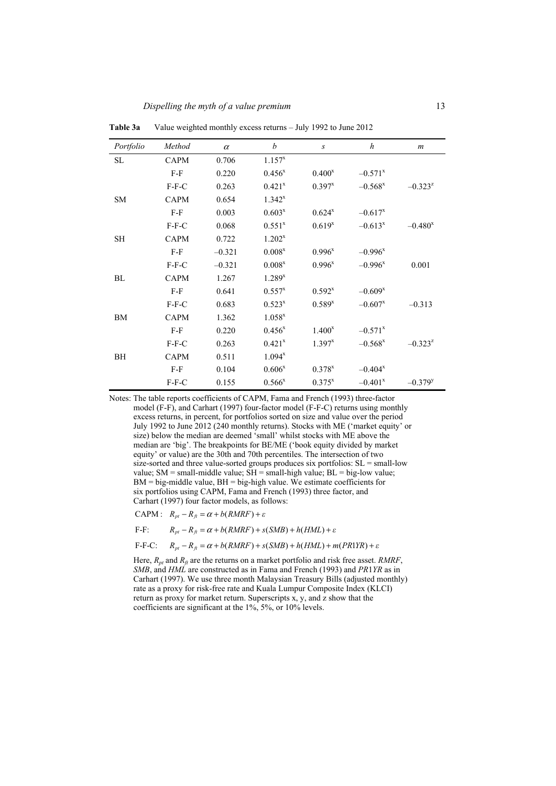| Portfolio | Method      | $\alpha$ | b           | $\boldsymbol{S}$ | $\boldsymbol{h}$      | $\boldsymbol{m}$ |
|-----------|-------------|----------|-------------|------------------|-----------------------|------------------|
| <b>SL</b> | <b>CAPM</b> | 0.706    | $1.157^{x}$ |                  |                       |                  |
|           | $F-F$       | 0.220    | $0.456^{x}$ | $0.400^x$        | $-0.571$ <sup>x</sup> |                  |
|           | $F-F-C$     | 0.263    | $0.421^{x}$ | $0.397^{x}$      | $-0.568$ <sup>x</sup> | $-0.323^{z}$     |
| <b>SM</b> | <b>CAPM</b> | 0.654    | $1.342^{x}$ |                  |                       |                  |
|           | $F-F$       | 0.003    | $0.603^{x}$ | $0.624^{x}$      | $-0.617^{x}$          |                  |
|           | $F-F-C$     | 0.068    | $0.551^{x}$ | $0.619^{x}$      | $-0.613^{x}$          | $-0.480^x$       |
| SH        | <b>CAPM</b> | 0.722    | $1.202^{x}$ |                  |                       |                  |
|           | $F-F$       | $-0.321$ | $0.008^{x}$ | $0.996^{x}$      | $-0.996^x$            |                  |
|           | $F-F-C$     | $-0.321$ | $0.008^{x}$ | $0.996^{x}$      | $-0.996^x$            | 0.001            |
| BL        | <b>CAPM</b> | 1.267    | $1.289^{x}$ |                  |                       |                  |
|           | $F-F$       | 0.641    | $0.557^{x}$ | $0.592^{x}$      | $-0.609^{x}$          |                  |
|           | $F-F-C$     | 0.683    | $0.523^{x}$ | $0.589^{x}$      | $-0.607^x$            | $-0.313$         |
| <b>BM</b> | <b>CAPM</b> | 1.362    | $1.058^{x}$ |                  |                       |                  |
|           | $F-F$       | 0.220    | $0.456^{x}$ | $1.400^x$        | $-0.571$ <sup>x</sup> |                  |
|           | $F-F-C$     | 0.263    | $0.421^{x}$ | $1.397^{x}$      | $-0.568$ <sup>x</sup> | $-0.323^{z}$     |
| BH        | <b>CAPM</b> | 0.511    | $1.094^{x}$ |                  |                       |                  |
|           | $F-F$       | 0.104    | $0.606^{x}$ | $0.378^{x}$      | $-0.404^x$            |                  |
|           | $F-F-C$     | 0.155    | $0.566^x$   | $0.375^{x}$      | $-0.401^x$            | $-0.379^{y}$     |

**Table 3a** Value weighted monthly excess returns – July 1992 to June 2012

Notes: The table reports coefficients of CAPM, Fama and French (1993) three-factor model (F-F), and Carhart (1997) four-factor model (F-F-C) returns using monthly excess returns, in percent, for portfolios sorted on size and value over the period July 1992 to June 2012 (240 monthly returns). Stocks with ME ('market equity' or size) below the median are deemed 'small' whilst stocks with ME above the median are 'big'. The breakpoints for BE/ME ('book equity divided by market equity' or value) are the 30th and 70th percentiles. The intersection of two size-sorted and three value-sorted groups produces six portfolios:  $SL = \text{small-low}$ value;  $SM = \text{small-middle value}$ ;  $SH = \text{small-high value}$ ;  $BL = \text{big-low value}$ ;  $BM = big$ -middle value,  $BH = big$ -high value. We estimate coefficients for six portfolios using CAPM, Fama and French (1993) three factor, and Carhart (1997) four factor models, as follows:

 $CAPM:$   $R_{pt} - R_{ft} = \alpha + b(RMRF) + \varepsilon$ 

$$
F-F: \qquad R_{pt} - R_{ft} = \alpha + b(RMRF) + s(SMB) + h(HML) + \varepsilon
$$

 $F-F-C:$   $R_{pt} - R_{ft} = \alpha + b(RMRF) + s(SMB) + h(HML) + m(PR1YR) + \varepsilon$ 

Here,  $R_{nt}$  and  $R_f$  are the returns on a market portfolio and risk free asset. *RMRF*, *SMB*, and *HML* are constructed as in Fama and French (1993) and *PR*1*YR* as in Carhart (1997). We use three month Malaysian Treasury Bills (adjusted monthly) rate as a proxy for risk-free rate and Kuala Lumpur Composite Index (KLCI) return as proxy for market return. Superscripts  $\hat{x}$ , y, and  $\hat{z}$  show that the coefficients are significant at the 1%, 5%, or 10% levels.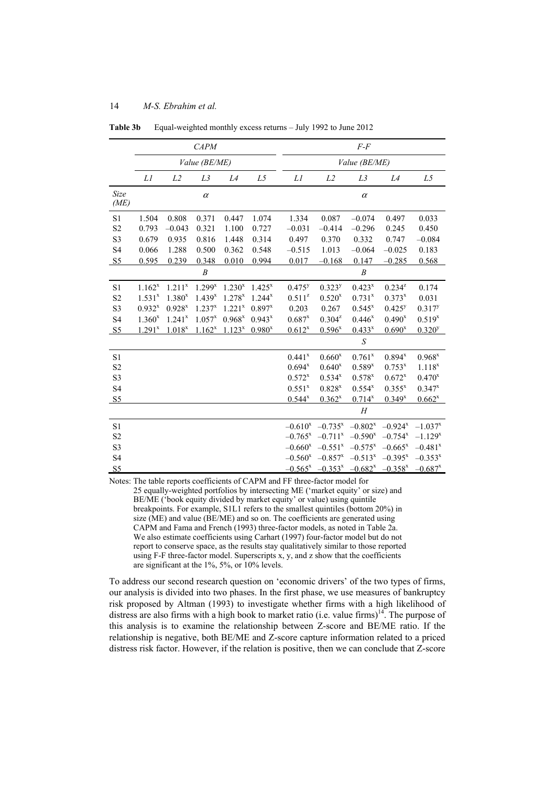|                |                    |                | <b>CAPM</b>      |                    |             | $F - F$      |                                  |                  |              |                       |
|----------------|--------------------|----------------|------------------|--------------------|-------------|--------------|----------------------------------|------------------|--------------|-----------------------|
|                |                    |                | Value (BE/ME)    |                    |             |              | Value (BE/ME)                    |                  |              |                       |
|                | L1                 | L <sub>2</sub> | L3               | L4                 | L5          | Ll           | L2                               | L3               | L4           | L5                    |
| Size<br>(ME)   |                    |                | $\alpha$         |                    |             |              |                                  | $\alpha$         |              |                       |
| S1             | 1.504              | 0.808          | 0.371            | 0.447              | 1.074       | 1.334        | 0.087                            | $-0.074$         | 0.497        | 0.033                 |
| S <sub>2</sub> | 0.793              | $-0.043$       | 0.321            | 1.100              | 0.727       | $-0.031$     | $-0.414$                         | $-0.296$         | 0.245        | 0.450                 |
| S3             | 0.679              | 0.935          | 0.816            | 1.448              | 0.314       | 0.497        | 0.370                            | 0.332            | 0.747        | $-0.084$              |
| S4             | 0.066              | 1.288          | 0.500            | 0.362              | 0.548       | $-0.515$     | 1.013                            | $-0.064$         | $-0.025$     | 0.183                 |
| S <sub>5</sub> | 0.595              | 0.239          | 0.348            | 0.010              | 0.994       | 0.017        | $-0.168$                         | 0.147            | $-0.285$     | 0.568                 |
|                |                    |                | $\boldsymbol{B}$ |                    |             |              |                                  | $\boldsymbol{B}$ |              |                       |
| S <sub>1</sub> | $1.162^{x}$        | $1.211^{x}$    | $1.299^{x}$      | 1.230 <sup>x</sup> | $1.425^{x}$ | $0.475^{y}$  | $0.323^{y}$                      | $0.423^{x}$      | $0.234^{z}$  | 0.174                 |
| S <sub>2</sub> | $1.531^{x}$        | $1.380^{x}$    | $1.439^{x}$      | $1.278^{x}$        | $1.244^{x}$ | $0.511^{z}$  | $0.520^{x}$                      | $0.731^{x}$      | $0.373^{x}$  | 0.031                 |
| S3             | $0.932^{x}$        | $0.928^{x}$    | $1.237^{x}$      | $1.221^{x}$        | $0.897^{x}$ | 0.203        | 0.267                            | $0.545^{x}$      | $0.425^{y}$  | $0.317^{y}$           |
| S <sub>4</sub> | 1.360 <sup>x</sup> | $1.241^x$      | $1.057^{x}$      | $0.968^{x}$        | $0.943^{x}$ | $0.687^{x}$  | $0.304^{z}$                      | $0.446^{x}$      | $0.490^{x}$  | $0.519^{x}$           |
| S <sub>5</sub> | $1.291^{x}$        | $1.018^{x}$    | $1.162^{x}$      | $1.123^{x}$        | $0.980^{x}$ | $0.612^{x}$  | $0.596^{x}$                      | $0.433^{x}$      | $0.690^{x}$  | $0.320^{y}$           |
|                |                    |                |                  |                    |             |              |                                  | $\boldsymbol{S}$ |              |                       |
| S1             |                    |                |                  |                    |             | $0.441^{x}$  | $0.660^x$                        | $0.761^{x}$      | $0.894^{x}$  | $0.968^{x}$           |
| S <sub>2</sub> |                    |                |                  |                    |             | $0.694^{x}$  | $0.640^x$                        | $0.589^{x}$      | $0.753^{x}$  | $1.118^{x}$           |
| S <sub>3</sub> |                    |                |                  |                    |             | $0.572^{x}$  | $0.534^{x}$                      | $0.578^{x}$      | $0.672^{x}$  | $0.470^{x}$           |
| S4             |                    |                |                  |                    |             | $0.551^{x}$  | $0.828^{x}$                      | $0.554^{x}$      | $0.355^{x}$  | $0.347^{x}$           |
| S5             |                    |                |                  |                    |             | $0.544^{x}$  | $0.362^{x}$                      | $0.714^{x}$      | $0.349^{x}$  | $0.662^x$             |
|                |                    |                |                  |                    |             |              |                                  | H                |              |                       |
| S1             |                    |                |                  |                    |             | $-0.610^{x}$ | $-0.735^{x}$                     | $-0.802^{x}$     | $-0.924^{x}$ | $-1.037^{x}$          |
| S <sub>2</sub> |                    |                |                  |                    |             | $-0.765^x$   | $-0.711^{x}$                     | $-0.590^x$       | $-0.754^{x}$ | $-1.129^{x}$          |
| S <sub>3</sub> |                    |                |                  |                    |             | $-0.660^x$   | $-0.551^x$                       | $-0.575^{x}$     | $-0.665^x$   | $-0.481$ <sup>x</sup> |
| S <sub>4</sub> |                    |                |                  |                    |             | $-0.560^x$   | $-0.857$ <sup>x</sup>            | $-0.513^{x}$     | $-0.395^{x}$ | $-0.353^{x}$          |
| S <sub>5</sub> |                    |                |                  |                    |             |              | $-0.565^x$ $-0.353^x$ $-0.682^x$ |                  | $-0.358^{x}$ | $-0.687$ <sup>x</sup> |

**Table 3b** Equal-weighted monthly excess returns – July 1992 to June 2012

Notes: The table reports coefficients of CAPM and FF three-factor model for 25 equally-weighted portfolios by intersecting ME ('market equity' or size) and BE/ME ('book equity divided by market equity' or value) using quintile breakpoints. For example, S1L1 refers to the smallest quintiles (bottom 20%) in size (ME) and value (BE/ME) and so on. The coefficients are generated using CAPM and Fama and French (1993) three-factor models, as noted in Table 2a. We also estimate coefficients using Carhart (1997) four-factor model but do not report to conserve space, as the results stay qualitatively similar to those reported using F-F three-factor model. Superscripts x, y, and z show that the coefficients are significant at the 1%, 5%, or 10% levels.

To address our second research question on 'economic drivers' of the two types of firms, our analysis is divided into two phases. In the first phase, we use measures of bankruptcy risk proposed by Altman (1993) to investigate whether firms with a high likelihood of distress are also firms with a high book to market ratio (i.e. value firms)<sup>14</sup>. The purpose of this analysis is to examine the relationship between Z-score and BE/ME ratio. If the relationship is negative, both BE/ME and Z-score capture information related to a priced distress risk factor. However, if the relation is positive, then we can conclude that Z-score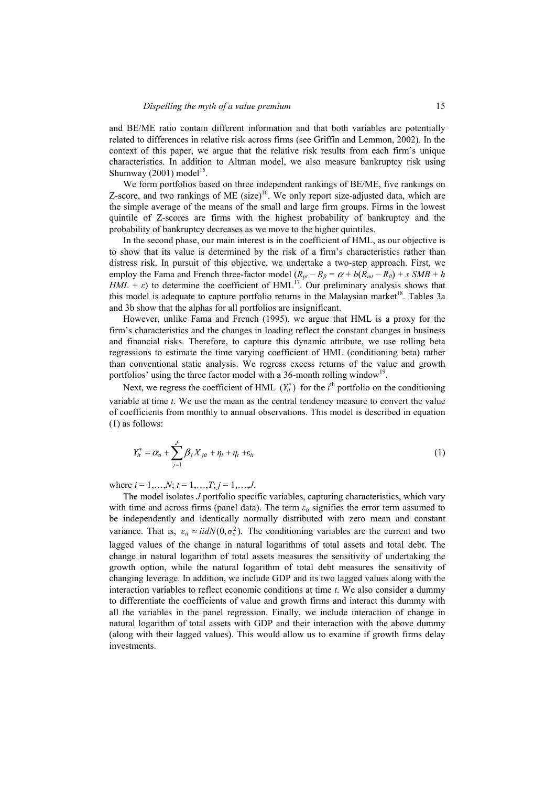and BE/ME ratio contain different information and that both variables are potentially related to differences in relative risk across firms (see Griffin and Lemmon, 2002). In the context of this paper, we argue that the relative risk results from each firm's unique characteristics. In addition to Altman model, we also measure bankruptcy risk using Shumway  $(2001)$  model<sup>15</sup>.

We form portfolios based on three independent rankings of BE/ME, five rankings on Z-score, and two rankings of ME (size)<sup>16</sup>. We only report size-adjusted data, which are the simple average of the means of the small and large firm groups. Firms in the lowest quintile of Z-scores are firms with the highest probability of bankruptcy and the probability of bankruptcy decreases as we move to the higher quintiles.

In the second phase, our main interest is in the coefficient of HML, as our objective is to show that its value is determined by the risk of a firm's characteristics rather than distress risk. In pursuit of this objective, we undertake a two-step approach. First, we employ the Fama and French three-factor model  $(R_{pt} - R_{ft} = \alpha + b(R_{mt} - R_{ft}) + s \, SMB + h$ *HML* +  $\varepsilon$ ) to determine the coefficient of HML<sup>17</sup>. Our preliminary analysis shows that this model is adequate to capture portfolio returns in the Malaysian market<sup>18</sup>. Tables 3a and 3b show that the alphas for all portfolios are insignificant.

However, unlike Fama and French (1995), we argue that HML is a proxy for the firm's characteristics and the changes in loading reflect the constant changes in business and financial risks. Therefore, to capture this dynamic attribute, we use rolling beta regressions to estimate the time varying coefficient of HML (conditioning beta) rather than conventional static analysis. We regress excess returns of the value and growth portfolios' using the three factor model with a 36-month rolling window<sup>19</sup>.

Next, we regress the coefficient of HML  $(Y_{it}^*)$  for the  $i^{\text{th}}$  portfolio on the conditioning variable at time *t*. We use the mean as the central tendency measure to convert the value of coefficients from monthly to annual observations. This model is described in equation (1) as follows:

$$
Y_{it}^* = \alpha_o + \sum_{j=1}^{J} \beta_j X_{jit} + \eta_i + \eta_t + \varepsilon_{it}
$$
\n<sup>(1)</sup>

where  $i = 1,...,N$ ;  $t = 1,...,T$ ;  $j = 1,...,J$ .

The model isolates *J* portfolio specific variables, capturing characteristics, which vary with time and across firms (panel data). The term  $\varepsilon_{it}$  signifies the error term assumed to be independently and identically normally distributed with zero mean and constant variance. That is,  $\varepsilon_{ii} \approx \frac{i}{d}N(0, \sigma_{\varepsilon}^2)$ . The conditioning variables are the current and two lagged values of the change in natural logarithms of total assets and total debt. The change in natural logarithm of total assets measures the sensitivity of undertaking the growth option, while the natural logarithm of total debt measures the sensitivity of changing leverage. In addition, we include GDP and its two lagged values along with the interaction variables to reflect economic conditions at time *t*. We also consider a dummy to differentiate the coefficients of value and growth firms and interact this dummy with all the variables in the panel regression. Finally, we include interaction of change in natural logarithm of total assets with GDP and their interaction with the above dummy (along with their lagged values). This would allow us to examine if growth firms delay investments.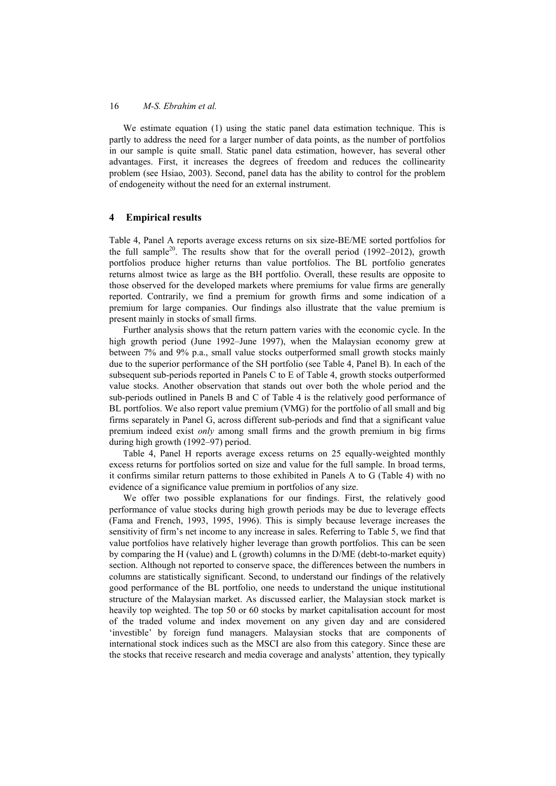We estimate equation (1) using the static panel data estimation technique. This is partly to address the need for a larger number of data points, as the number of portfolios in our sample is quite small. Static panel data estimation, however, has several other advantages. First, it increases the degrees of freedom and reduces the collinearity problem (see Hsiao, 2003). Second, panel data has the ability to control for the problem of endogeneity without the need for an external instrument.

#### **4 Empirical results**

Table 4, Panel A reports average excess returns on six size-BE/ME sorted portfolios for the full sample<sup>20</sup>. The results show that for the overall period (1992–2012), growth portfolios produce higher returns than value portfolios. The BL portfolio generates returns almost twice as large as the BH portfolio. Overall, these results are opposite to those observed for the developed markets where premiums for value firms are generally reported. Contrarily, we find a premium for growth firms and some indication of a premium for large companies. Our findings also illustrate that the value premium is present mainly in stocks of small firms.

Further analysis shows that the return pattern varies with the economic cycle. In the high growth period (June 1992–June 1997), when the Malaysian economy grew at between 7% and 9% p.a., small value stocks outperformed small growth stocks mainly due to the superior performance of the SH portfolio (see Table 4, Panel B). In each of the subsequent sub-periods reported in Panels C to E of Table 4, growth stocks outperformed value stocks. Another observation that stands out over both the whole period and the sub-periods outlined in Panels B and C of Table 4 is the relatively good performance of BL portfolios. We also report value premium (VMG) for the portfolio of all small and big firms separately in Panel G, across different sub-periods and find that a significant value premium indeed exist *only* among small firms and the growth premium in big firms during high growth (1992–97) period.

Table 4, Panel H reports average excess returns on 25 equally-weighted monthly excess returns for portfolios sorted on size and value for the full sample. In broad terms, it confirms similar return patterns to those exhibited in Panels A to G (Table 4) with no evidence of a significance value premium in portfolios of any size.

We offer two possible explanations for our findings. First, the relatively good performance of value stocks during high growth periods may be due to leverage effects (Fama and French, 1993, 1995, 1996). This is simply because leverage increases the sensitivity of firm's net income to any increase in sales. Referring to Table 5, we find that value portfolios have relatively higher leverage than growth portfolios. This can be seen by comparing the H (value) and L (growth) columns in the D/ME (debt-to-market equity) section. Although not reported to conserve space, the differences between the numbers in columns are statistically significant. Second, to understand our findings of the relatively good performance of the BL portfolio, one needs to understand the unique institutional structure of the Malaysian market. As discussed earlier, the Malaysian stock market is heavily top weighted. The top 50 or 60 stocks by market capitalisation account for most of the traded volume and index movement on any given day and are considered 'investible' by foreign fund managers. Malaysian stocks that are components of international stock indices such as the MSCI are also from this category. Since these are the stocks that receive research and media coverage and analysts' attention, they typically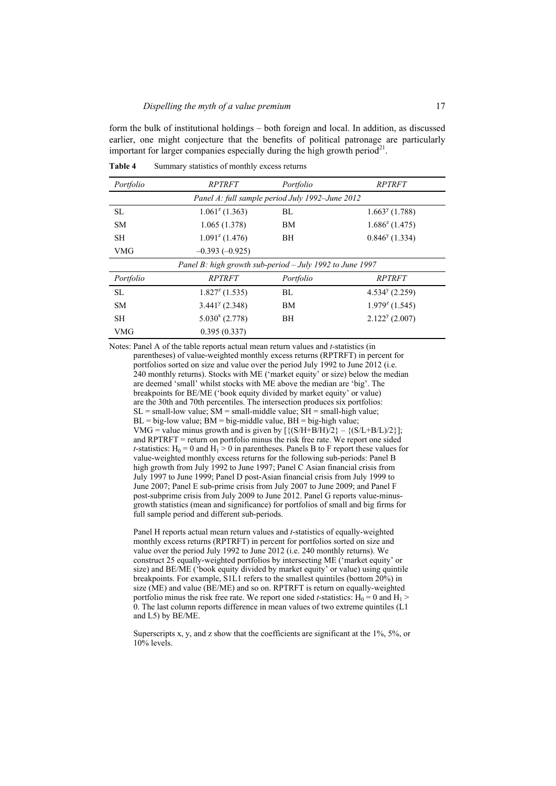form the bulk of institutional holdings – both foreign and local. In addition, as discussed earlier, one might conjecture that the benefits of political patronage are particularly important for larger companies especially during the high growth period<sup>21</sup>.

*Portfolio RPTRFT Portfolio RPTRFT Panel A: full sample period July 1992–June 2012*  SL  $1.061^z(1.363)$  BL  $1.663^y$  $1.663<sup>y</sup>$  (1.788) SM 1.065 (1.378) BM  $1.686<sup>z</sup>$  (1.475) SH  $1.091^z(1.476)$  BH  $0.846^y$  $0.846^{y}$  (1.334) VMG  $-0.393 (-0.925)$ *Panel B: high growth sub-period – July 1992 to June 1997 Portfolio RPTRFT Portfolio RPTRFT*  SL  $1.827^{z}$  (1.535) BL  $4.534^{y}$  (2.259) SM  $3.441^y(2.348)$  BM  $1.979^2$  $1.979^{z}$  (1.545) SH  $5.030^{x}$  (2.778) BH  $2.122^{y}$  $2.122<sup>y</sup>$  (2.007) VMG 0.395 (0.337)

Table 4 Summary statistics of monthly excess returns

Notes: Panel A of the table reports actual mean return values and *t-*statistics (in parentheses) of value-weighted monthly excess returns (RPTRFT) in percent for portfolios sorted on size and value over the period July 1992 to June 2012 (i.e. 240 monthly returns). Stocks with ME ('market equity' or size) below the median are deemed 'small' whilst stocks with ME above the median are 'big'. The breakpoints for BE/ME ('book equity divided by market equity' or value) are the 30th and 70th percentiles. The intersection produces six portfolios:  $SL =$  small-low value;  $SM =$  small-middle value;  $SH =$  small-high value;  $BL = big$ -low value;  $BM = big$ -middle value,  $BH = big$ -high value; VMG = value minus growth and is given by  $[\{(S/H+B/H)/2\} - \{(S/L+B/L)/2\}]$ ; and RPTRFT = return on portfolio minus the risk free rate. We report one sided *t*-statistics:  $H_0 = 0$  and  $H_1 > 0$  in parentheses. Panels B to F report these values for value-weighted monthly excess returns for the following sub-periods: Panel B high growth from July 1992 to June 1997; Panel C Asian financial crisis from July 1997 to June 1999; Panel D post-Asian financial crisis from July 1999 to June 2007; Panel E sub-prime crisis from July 2007 to June 2009; and Panel F post-subprime crisis from July 2009 to June 2012. Panel G reports value-minusgrowth statistics (mean and significance) for portfolios of small and big firms for full sample period and different sub-periods.

Panel H reports actual mean return values and *t-*statistics of equally-weighted monthly excess returns (RPTRFT) in percent for portfolios sorted on size and value over the period July 1992 to June 2012 (i.e. 240 monthly returns). We construct 25 equally-weighted portfolios by intersecting ME ('market equity' or size) and BE/ME ('book equity divided by market equity' or value) using quintile breakpoints. For example, S1L1 refers to the smallest quintiles (bottom 20%) in size (ME) and value (BE/ME) and so on. RPTRFT is return on equally-weighted portfolio minus the risk free rate. We report one sided *t*-statistics:  $H_0 = 0$  and  $H_1$  > 0. The last column reports difference in mean values of two extreme quintiles (L1 and L5) by BE/ME.

Superscripts x, y, and z show that the coefficients are significant at the  $1\%$ ,  $5\%$ , or 10% levels.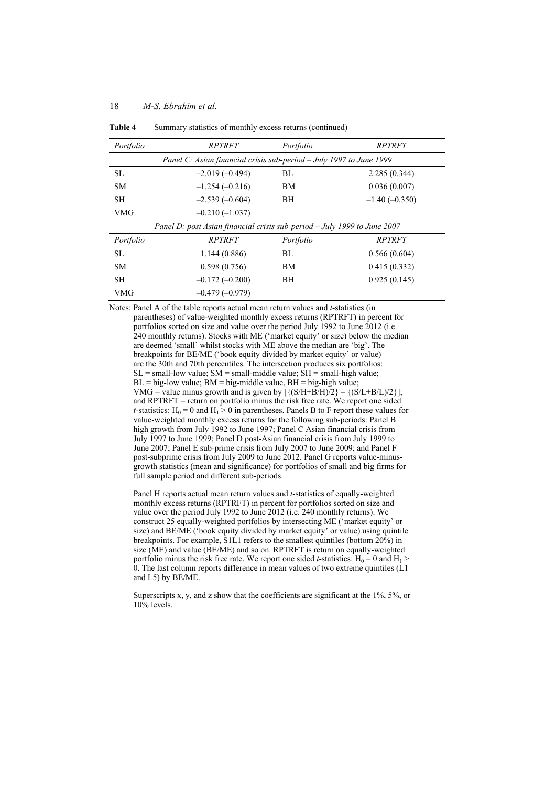| Portfolio                                                                | RPTRFT                                                              | Portfolio | <b>RPTRFT</b>   |  |  |  |  |  |  |
|--------------------------------------------------------------------------|---------------------------------------------------------------------|-----------|-----------------|--|--|--|--|--|--|
|                                                                          | Panel C: Asian financial crisis sub-period – July 1997 to June 1999 |           |                 |  |  |  |  |  |  |
| SL.                                                                      | $-2.019(-0.494)$                                                    | BL        | 2.285(0.344)    |  |  |  |  |  |  |
| <b>SM</b>                                                                | $-1.254(-0.216)$                                                    | BM        | 0.036(0.007)    |  |  |  |  |  |  |
| <b>SH</b>                                                                | $-2.539(-0.604)$                                                    | <b>BH</b> | $-1.40(-0.350)$ |  |  |  |  |  |  |
| <b>VMG</b>                                                               | $-0.210(-1.037)$                                                    |           |                 |  |  |  |  |  |  |
| Panel D: post Asian financial crisis sub-period - July 1999 to June 2007 |                                                                     |           |                 |  |  |  |  |  |  |
| Portfolio                                                                | RPTRFT                                                              | Portfolio | <b>RPTRFT</b>   |  |  |  |  |  |  |
| SL.                                                                      | 1.144(0.886)                                                        | BL        | 0.566(0.604)    |  |  |  |  |  |  |
| <b>SM</b>                                                                | 0.598(0.756)                                                        | BM        | 0.415(0.332)    |  |  |  |  |  |  |
| <b>SH</b>                                                                | $-0.172(-0.200)$                                                    | <b>BH</b> | 0.925(0.145)    |  |  |  |  |  |  |
| <b>VMG</b>                                                               | $-0.479(-0.979)$                                                    |           |                 |  |  |  |  |  |  |

Table 4 Summary statistics of monthly excess returns (continued)

Notes: Panel A of the table reports actual mean return values and *t-*statistics (in parentheses) of value-weighted monthly excess returns (RPTRFT) in percent for portfolios sorted on size and value over the period July 1992 to June 2012 (i.e. 240 monthly returns). Stocks with ME ('market equity' or size) below the median are deemed 'small' whilst stocks with ME above the median are 'big'. The breakpoints for BE/ME ('book equity divided by market equity' or value) are the 30th and 70th percentiles. The intersection produces six portfolios:  $SL = \text{small-low value}$ ;  $SM = \text{small-middle value}$ ;  $\overrightarrow{SH} = \text{small-high value}$ ;  $BL = big$ -low value;  $BM = big$ -middle value,  $BH = big$ -high value; VMG = value minus growth and is given by  $[\{(S/H+B/H)/2\} - \{(S/L+B/L)/2\}];$ and RPTRFT = return on portfolio minus the risk free rate. We report one sided *t*-statistics:  $H_0 = 0$  and  $H_1 > 0$  in parentheses. Panels B to F report these values for value-weighted monthly excess returns for the following sub-periods: Panel B high growth from July 1992 to June 1997; Panel C Asian financial crisis from July 1997 to June 1999; Panel D post-Asian financial crisis from July 1999 to June 2007; Panel E sub-prime crisis from July 2007 to June 2009; and Panel F post-subprime crisis from July 2009 to June 2012. Panel G reports value-minusgrowth statistics (mean and significance) for portfolios of small and big firms for full sample period and different sub-periods.

Panel H reports actual mean return values and *t-*statistics of equally-weighted monthly excess returns (RPTRFT) in percent for portfolios sorted on size and value over the period July 1992 to June 2012 (i.e. 240 monthly returns). We construct 25 equally-weighted portfolios by intersecting ME ('market equity' or size) and BE/ME ('book equity divided by market equity' or value) using quintile breakpoints. For example, S1L1 refers to the smallest quintiles (bottom 20%) in size (ME) and value (BE/ME) and so on. RPTRFT is return on equally-weighted portfolio minus the risk free rate. We report one sided *t*-statistics:  $H_0 = 0$  and  $H_1$  > 0. The last column reports difference in mean values of two extreme quintiles (L1 and L5) by BE/ME.

Superscripts x, y, and z show that the coefficients are significant at the 1%, 5%, or 10% levels.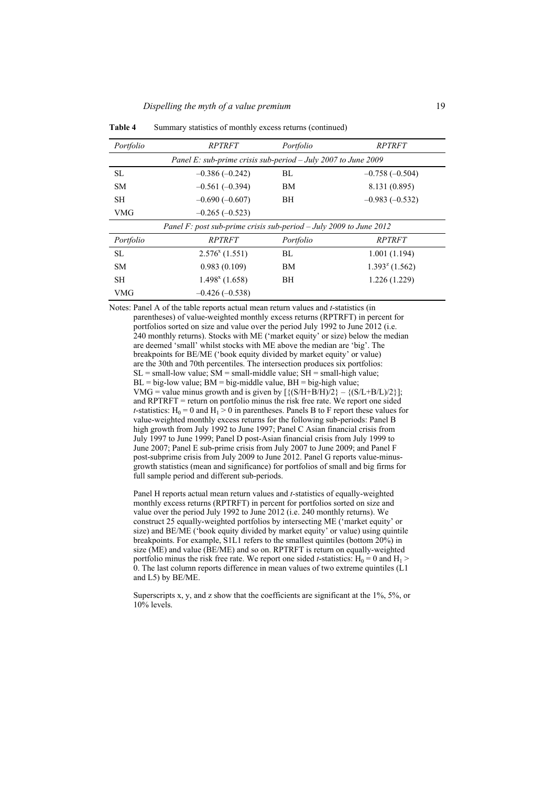| Portfolio                                                          | <b>RPTRFT</b>                                                   | Portfolio | <i>RPTRFT</i>       |  |  |  |  |  |  |
|--------------------------------------------------------------------|-----------------------------------------------------------------|-----------|---------------------|--|--|--|--|--|--|
|                                                                    | Panel E: sub-prime crisis sub-period $-$ July 2007 to June 2009 |           |                     |  |  |  |  |  |  |
| SL.                                                                | $-0.386(-0.242)$                                                | BL.       | $-0.758(-0.504)$    |  |  |  |  |  |  |
| <b>SM</b>                                                          | $-0.561(-0.394)$                                                | BM        | 8.131 (0.895)       |  |  |  |  |  |  |
| SН                                                                 | $-0.690(-0.607)$                                                | ВH        | $-0.983(-0.532)$    |  |  |  |  |  |  |
| VMG                                                                | $-0.265(-0.523)$                                                |           |                     |  |  |  |  |  |  |
| Panel F: post sub-prime crisis sub-period – July 2009 to June 2012 |                                                                 |           |                     |  |  |  |  |  |  |
| Portfolio                                                          | RPTRFT                                                          | Portfolio | <i>RPTRFT</i>       |  |  |  |  |  |  |
| SL.                                                                | $2.576x$ (1.551)                                                | BL.       | 1.001(1.194)        |  |  |  |  |  |  |
| SM.                                                                | 0.983(0.109)                                                    | <b>BM</b> | $1.393^{2}$ (1.562) |  |  |  |  |  |  |
| SН                                                                 | $1.498x$ (1.658)                                                | ВH        | 1.226(1.229)        |  |  |  |  |  |  |
| VMG                                                                | $-0.426(-0.538)$                                                |           |                     |  |  |  |  |  |  |

Table 4 Summary statistics of monthly excess returns (continued)

Notes: Panel A of the table reports actual mean return values and *t-*statistics (in parentheses) of value-weighted monthly excess returns (RPTRFT) in percent for portfolios sorted on size and value over the period July 1992 to June 2012 (i.e. 240 monthly returns). Stocks with ME ('market equity' or size) below the median are deemed 'small' whilst stocks with ME above the median are 'big'. The breakpoints for BE/ME ('book equity divided by market equity' or value) are the 30th and 70th percentiles. The intersection produces six portfolios:  $SL =$  small-low value;  $SM =$  small-middle value;  $\dot{SH} =$  small-high value;  $BL = big$ -low value;  $BM = big$ -middle value,  $BH = big$ -high value; VMG = value minus growth and is given by  $[\{(S/H+B/H)/2\} - \{(S/L+B/L)/2\}];$ and RPTRFT = return on portfolio minus the risk free rate. We report one sided *t*-statistics:  $H_0 = 0$  and  $H_1 > 0$  in parentheses. Panels B to F report these values for value-weighted monthly excess returns for the following sub-periods: Panel B high growth from July 1992 to June 1997; Panel C Asian financial crisis from July 1997 to June 1999; Panel D post-Asian financial crisis from July 1999 to June 2007; Panel E sub-prime crisis from July 2007 to June 2009; and Panel F post-subprime crisis from July 2009 to June 2012. Panel G reports value-minusgrowth statistics (mean and significance) for portfolios of small and big firms for full sample period and different sub-periods.

Panel H reports actual mean return values and *t-*statistics of equally-weighted monthly excess returns (RPTRFT) in percent for portfolios sorted on size and value over the period July 1992 to June 2012 (i.e. 240 monthly returns). We construct 25 equally-weighted portfolios by intersecting ME ('market equity' or size) and BE/ME ('book equity divided by market equity' or value) using quintile breakpoints. For example, S1L1 refers to the smallest quintiles (bottom 20%) in size (ME) and value (BE/ME) and so on. RPTRFT is return on equally-weighted portfolio minus the risk free rate. We report one sided *t*-statistics:  $H_0 = 0$  and  $H_1$  > 0. The last column reports difference in mean values of two extreme quintiles (L1 and L5) by BE/ME.

Superscripts x, y, and z show that the coefficients are significant at the 1%, 5%, or 10% levels.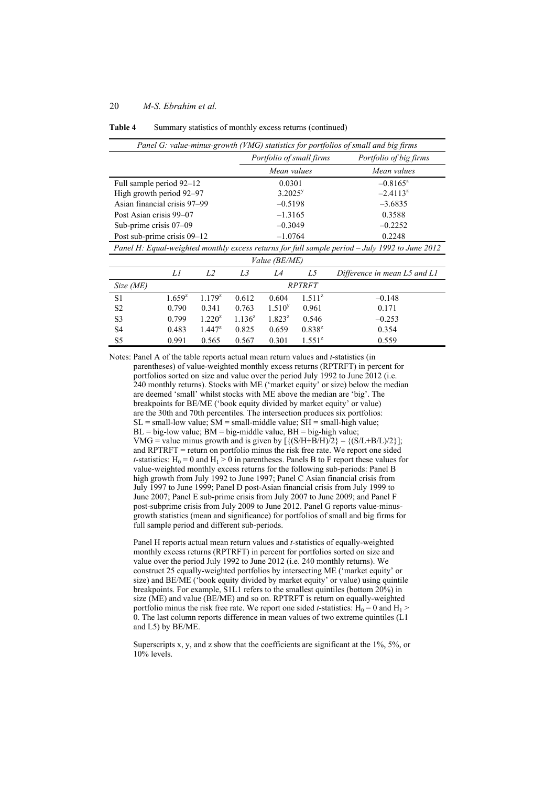| Table 4 | Summary statistics of monthly excess returns (continued) |  |  |  |  |
|---------|----------------------------------------------------------|--|--|--|--|
|---------|----------------------------------------------------------|--|--|--|--|

|                                                                                                | Panel G: value-minus-growth (VMG) statistics for portfolios of small and big firms |                |             |               |                          |                              |  |  |  |  |  |
|------------------------------------------------------------------------------------------------|------------------------------------------------------------------------------------|----------------|-------------|---------------|--------------------------|------------------------------|--|--|--|--|--|
|                                                                                                |                                                                                    |                |             |               | Portfolio of small firms | Portfolio of big firms       |  |  |  |  |  |
|                                                                                                |                                                                                    |                |             | Mean values   |                          | Mean values                  |  |  |  |  |  |
| Full sample period 92–12                                                                       |                                                                                    |                |             | 0.0301        |                          | $-0.8165^{z}$                |  |  |  |  |  |
| High growth period 92–97                                                                       |                                                                                    |                |             | $3.2025^y$    |                          | $-2.4113^{z}$                |  |  |  |  |  |
| Asian financial crisis 97–99                                                                   |                                                                                    |                |             | $-0.5198$     |                          | $-3.6835$                    |  |  |  |  |  |
| Post Asian crisis 99–07                                                                        |                                                                                    |                |             | $-1.3165$     |                          | 0.3588                       |  |  |  |  |  |
| Sub-prime crisis 07–09                                                                         |                                                                                    |                |             | $-0.3049$     |                          | $-0.2252$                    |  |  |  |  |  |
| Post sub-prime crisis 09–12                                                                    |                                                                                    | $-1.0764$      |             | 0.2248        |                          |                              |  |  |  |  |  |
| Panel H: Equal-weighted monthly excess returns for full sample period - July 1992 to June 2012 |                                                                                    |                |             |               |                          |                              |  |  |  |  |  |
|                                                                                                |                                                                                    |                |             | Value (BE/ME) |                          |                              |  |  |  |  |  |
|                                                                                                | Ll                                                                                 | L <sub>2</sub> | L3          | L4            | L5                       | Difference in mean L5 and L1 |  |  |  |  |  |
| Size (ME)                                                                                      |                                                                                    |                |             |               | <b>RPTRFT</b>            |                              |  |  |  |  |  |
| S1                                                                                             | $1.659^{z}$                                                                        | $1.179^{z}$    | 0.612       | 0.604         | $1.511^{z}$              | $-0.148$                     |  |  |  |  |  |
| S <sub>2</sub>                                                                                 | 0.790                                                                              | 0.341          | 0.763       | $1.510^{y}$   | 0.961                    | 0.171                        |  |  |  |  |  |
| S <sub>3</sub>                                                                                 | 0.799                                                                              | $1.220^{2}$    | $1.136^{2}$ | $1.823^{2}$   | 0.546                    | $-0.253$                     |  |  |  |  |  |
| S <sub>4</sub>                                                                                 | 0.483                                                                              | $1.447^{z}$    | 0.825       | 0.659         | $0.838^{2}$              | 0.354                        |  |  |  |  |  |
| S5                                                                                             | 0.991                                                                              | 0.565          | 0.567       | 0.301         | $1.551^{z}$              | 0.559                        |  |  |  |  |  |

Notes: Panel A of the table reports actual mean return values and *t-*statistics (in parentheses) of value-weighted monthly excess returns (RPTRFT) in percent for portfolios sorted on size and value over the period July 1992 to June 2012 (i.e. 240 monthly returns). Stocks with ME ('market equity' or size) below the median are deemed 'small' whilst stocks with ME above the median are 'big'. The breakpoints for BE/ME ('book equity divided by market equity' or value) are the 30th and 70th percentiles. The intersection produces six portfolios:  $SL =$  small-low value;  $SM =$  small-middle value;  $SH =$  small-high value;  $BL = big$ -low value;  $BM = big$ -middle value,  $BH = big$ -high value; VMG = value minus growth and is given by  $[\{(S/H+B/H)/2\} - \{(S/L+B/L)/2\}];$ and RPTRFT = return on portfolio minus the risk free rate. We report one sided *t*-statistics:  $H_0 = 0$  and  $H_1 > 0$  in parentheses. Panels B to F report these values for value-weighted monthly excess returns for the following sub-periods: Panel B high growth from July 1992 to June 1997; Panel C Asian financial crisis from July 1997 to June 1999; Panel D post-Asian financial crisis from July 1999 to June 2007; Panel E sub-prime crisis from July 2007 to June 2009; and Panel F post-subprime crisis from July 2009 to June 2012. Panel G reports value-minusgrowth statistics (mean and significance) for portfolios of small and big firms for full sample period and different sub-periods.

Panel H reports actual mean return values and *t-*statistics of equally-weighted monthly excess returns (RPTRFT) in percent for portfolios sorted on size and value over the period July 1992 to June 2012 (i.e. 240 monthly returns). We construct 25 equally-weighted portfolios by intersecting ME ('market equity' or size) and BE/ME ('book equity divided by market equity' or value) using quintile breakpoints. For example, S1L1 refers to the smallest quintiles (bottom 20%) in size  $(ME)$  and value  $(BE/ME)$  and so on. RPTRFT is return on equally-weighted portfolio minus the risk free rate. We report one sided *t*-statistics:  $H_0 = 0$  and  $H_1$  > 0. The last column reports difference in mean values of two extreme quintiles (L1 and L5) by BE/ME.

Superscripts x, y, and z show that the coefficients are significant at the  $1\%$ ,  $5\%$ , or  $10\%$  levels.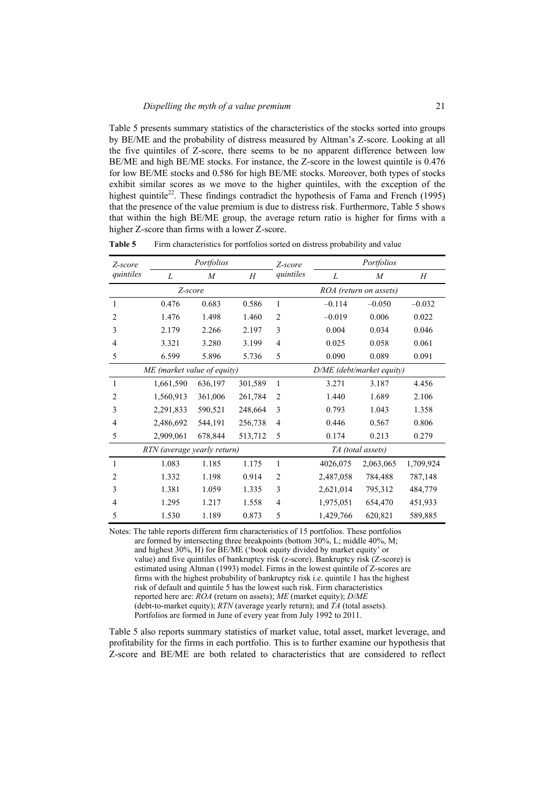Table 5 presents summary statistics of the characteristics of the stocks sorted into groups by BE/ME and the probability of distress measured by Altman's Z-score. Looking at all the five quintiles of Z-score, there seems to be no apparent difference between low BE/ME and high BE/ME stocks. For instance, the Z-score in the lowest quintile is 0.476 for low BE/ME stocks and 0.586 for high BE/ME stocks. Moreover, both types of stocks exhibit similar scores as we move to the higher quintiles, with the exception of the highest quintile<sup>22</sup>. These findings contradict the hypothesis of Fama and French (1995) that the presence of the value premium is due to distress risk. Furthermore, Table 5 shows that within the high BE/ME group, the average return ratio is higher for firms with a higher Z-score than firms with a lower Z-score.

Table 5 Firm characteristics for portfolios sorted on distress probability and value

| Z-score        |                             | Portfolios     |         | Z-score        |                           | Portfolios             |           |  |  |
|----------------|-----------------------------|----------------|---------|----------------|---------------------------|------------------------|-----------|--|--|
| quintiles      | L                           | $\overline{M}$ | H       | quintiles      | L                         | $\overline{M}$         | H         |  |  |
|                | Z-score                     |                |         |                |                           | ROA (return on assets) |           |  |  |
| 1              | 0.476                       | 0.683          | 0.586   | 1              | $-0.114$                  | $-0.050$               | $-0.032$  |  |  |
| $\overline{c}$ | 1.476                       | 1.498          | 1.460   | $\overline{2}$ | $-0.019$                  | 0.006                  | 0.022     |  |  |
| 3              | 2.179                       | 2.266          | 2.197   | 3              | 0.004                     | 0.034                  | 0.046     |  |  |
| 4              | 3.321                       | 3.280          | 3.199   | 4              | 0.025                     | 0.058                  | 0.061     |  |  |
| 5              | 6.599                       | 5.896          | 5.736   | 5              | 0.090                     | 0.089                  | 0.091     |  |  |
|                | ME (market value of equity) |                |         |                | D/ME (debt/market equity) |                        |           |  |  |
| $\mathbf{1}$   | 1,661,590                   | 636,197        | 301,589 | $\mathbf{1}$   | 3.271                     | 3.187                  | 4.456     |  |  |
| $\overline{c}$ | 1,560,913                   | 361,006        | 261,784 | $\overline{2}$ | 1.440                     | 1.689                  | 2.106     |  |  |
| 3              | 2,291,833                   | 590,521        | 248,664 | 3              | 0.793                     | 1.043                  | 1.358     |  |  |
| $\overline{4}$ | 2,486,692                   | 544,191        | 256,738 | 4              | 0.446                     | 0.567                  | 0.806     |  |  |
| 5              | 2,909,061                   | 678,844        | 513,712 | 5              | 0.174                     | 0.213                  | 0.279     |  |  |
|                | RTN (average yearly return) |                |         |                |                           | TA (total assets)      |           |  |  |
| 1              | 1.083                       | 1.185          | 1.175   | $\mathbf{1}$   | 4026,075                  | 2,063,065              | 1,709,924 |  |  |
| $\overline{c}$ | 1.332                       | 1.198          | 0.914   | $\overline{2}$ | 2,487,058                 | 784,488                | 787,148   |  |  |
| 3              | 1.381                       | 1.059          | 1.335   | 3              | 2,621,014                 | 795,312                | 484,779   |  |  |
| 4              | 1.295                       | 1.217          | 1.558   | 4              | 1,975,051                 | 654,470                | 451,933   |  |  |
| 5              | 1.530                       | 1.189          | 0.873   | 5              | 1,429,766                 | 620,821                | 589,885   |  |  |

Notes: The table reports different firm characteristics of 15 portfolios. These portfolios are formed by intersecting three breakpoints (bottom  $30\%$ , L; middle  $40\%$ , M; and highest 30%, H) for BE/ME ('book equity divided by market equity' or value) and five quintiles of bankruptcy risk (z-score). Bankruptcy risk (Z-score) is estimated using Altman (1993) model. Firms in the lowest quintile of Z-scores are firms with the highest probability of bankruptcy risk i.e. quintile 1 has the highest risk of default and quintile 5 has the lowest such risk. Firm characteristics reported here are: *ROA* (return on assets); *ME* (market equity); *D/ME* (debt-to-market equity); *RTN* (average yearly return); and *TA* (total assets). Portfolios are formed in June of every year from July 1992 to 2011.

Table 5 also reports summary statistics of market value, total asset, market leverage, and profitability for the firms in each portfolio. This is to further examine our hypothesis that Z-score and BE/ME are both related to characteristics that are considered to reflect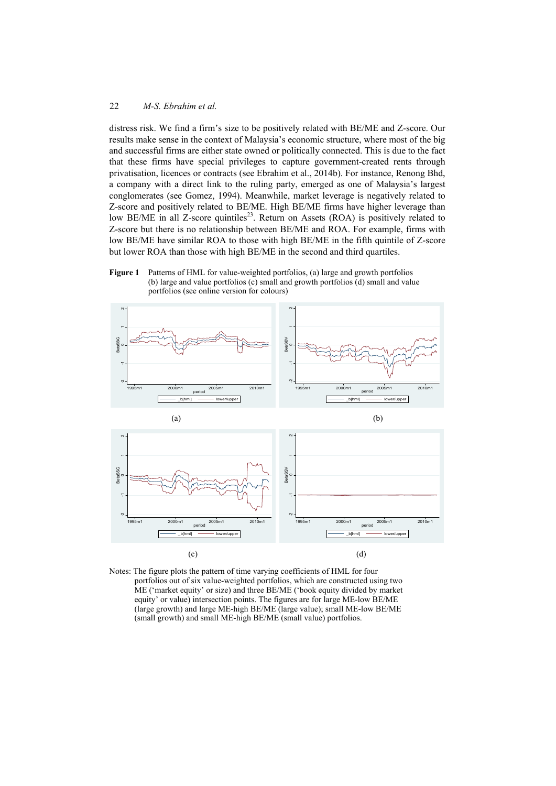distress risk. We find a firm's size to be positively related with BE/ME and Z-score. Our results make sense in the context of Malaysia's economic structure, where most of the big and successful firms are either state owned or politically connected. This is due to the fact that these firms have special privileges to capture government-created rents through privatisation, licences or contracts (see Ebrahim et al., 2014b). For instance, Renong Bhd, a company with a direct link to the ruling party, emerged as one of Malaysia's largest conglomerates (see Gomez, 1994). Meanwhile, market leverage is negatively related to Z-score and positively related to BE/ME. High BE/ME firms have higher leverage than low BE/ME in all Z-score quintiles<sup>23</sup>. Return on Assets (ROA) is positively related to Z-score but there is no relationship between BE/ME and ROA. For example, firms with low BE/ME have similar ROA to those with high BE/ME in the fifth quintile of Z-score but lower ROA than those with high BE/ME in the second and third quartiles.





Notes: The figure plots the pattern of time varying coefficients of HML for four portfolios out of six value-weighted portfolios, which are constructed using two ME ('market equity' or size) and three BE/ME ('book equity divided by market equity' or value) intersection points. The figures are for large ME-low BE/ME (large growth) and large ME-high BE/ME (large value); small ME-low BE/ME (small growth) and small ME-high BE/ME (small value) portfolios.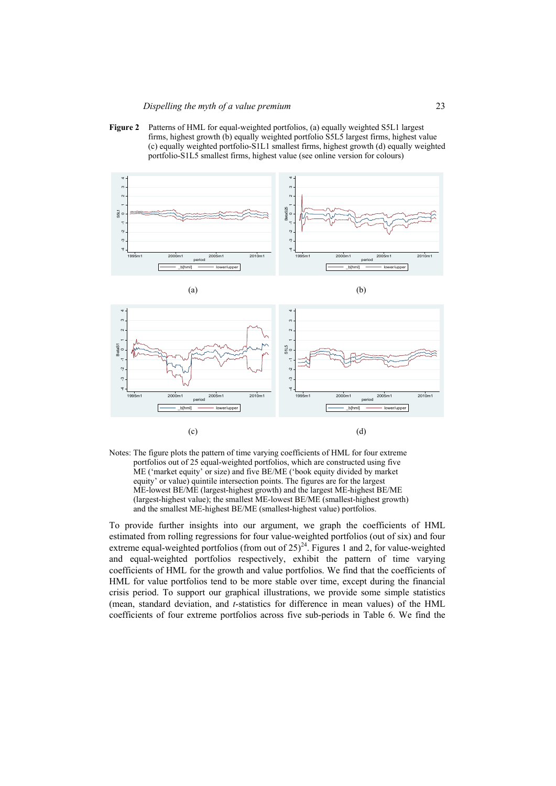**Figure 2** Patterns of HML for equal-weighted portfolios, (a) equally weighted S5L1 largest firms, highest growth (b) equally weighted portfolio S5L5 largest firms, highest value (c) equally weighted portfolio-S1L1 smallest firms, highest growth (d) equally weighted portfolio-S1L5 smallest firms, highest value (see online version for colours)





Notes: The figure plots the pattern of time varying coefficients of HML for four extreme portfolios out of 25 equal-weighted portfolios, which are constructed using five ME ('market equity' or size) and five BE/ME ('book equity divided by market equity' or value) quintile intersection points. The figures are for the largest ME-lowest BE/ME (largest-highest growth) and the largest ME-highest BE/ME (largest-highest value); the smallest ME-lowest BE/ME (smallest-highest growth) and the smallest ME-highest BE/ME (smallest-highest value) portfolios.

To provide further insights into our argument, we graph the coefficients of HML estimated from rolling regressions for four value-weighted portfolios (out of six) and four extreme equal-weighted portfolios (from out of  $25)^{24}$ . Figures 1 and 2, for value-weighted and equal-weighted portfolios respectively, exhibit the pattern of time varying coefficients of HML for the growth and value portfolios. We find that the coefficients of HML for value portfolios tend to be more stable over time, except during the financial crisis period. To support our graphical illustrations, we provide some simple statistics (mean, standard deviation, and *t*-statistics for difference in mean values) of the HML coefficients of four extreme portfolios across five sub-periods in Table 6. We find the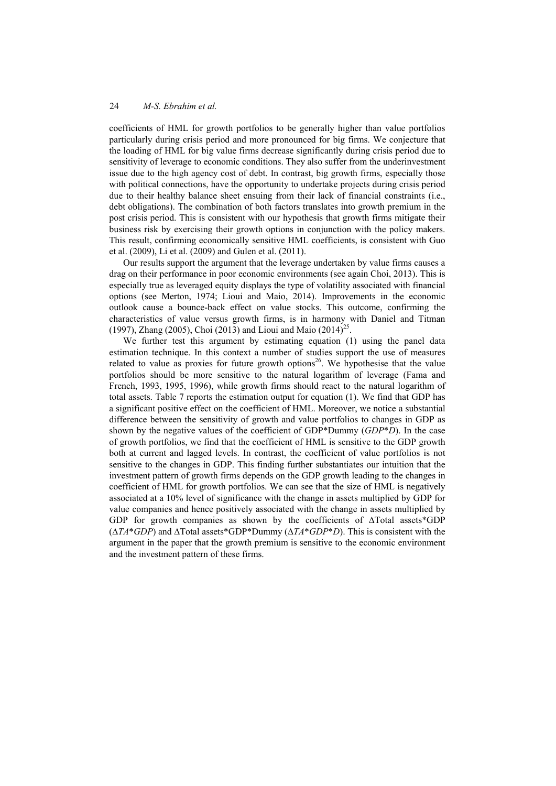coefficients of HML for growth portfolios to be generally higher than value portfolios particularly during crisis period and more pronounced for big firms. We conjecture that the loading of HML for big value firms decrease significantly during crisis period due to sensitivity of leverage to economic conditions. They also suffer from the underinvestment issue due to the high agency cost of debt. In contrast, big growth firms, especially those with political connections, have the opportunity to undertake projects during crisis period due to their healthy balance sheet ensuing from their lack of financial constraints (i.e., debt obligations). The combination of both factors translates into growth premium in the post crisis period. This is consistent with our hypothesis that growth firms mitigate their business risk by exercising their growth options in conjunction with the policy makers. This result, confirming economically sensitive HML coefficients, is consistent with Guo et al. (2009), Li et al. (2009) and Gulen et al. (2011).

Our results support the argument that the leverage undertaken by value firms causes a drag on their performance in poor economic environments (see again Choi, 2013). This is especially true as leveraged equity displays the type of volatility associated with financial options (see Merton, 1974; Lioui and Maio, 2014). Improvements in the economic outlook cause a bounce-back effect on value stocks. This outcome, confirming the characteristics of value versus growth firms, is in harmony with Daniel and Titman (1997), Zhang (2005), Choi (2013) and Lioui and Maio (2014)<sup>25</sup>.

We further test this argument by estimating equation (1) using the panel data estimation technique. In this context a number of studies support the use of measures related to value as proxies for future growth options<sup>26</sup>. We hypothesise that the value portfolios should be more sensitive to the natural logarithm of leverage (Fama and French, 1993, 1995, 1996), while growth firms should react to the natural logarithm of total assets. Table 7 reports the estimation output for equation (1). We find that GDP has a significant positive effect on the coefficient of HML. Moreover, we notice a substantial difference between the sensitivity of growth and value portfolios to changes in GDP as shown by the negative values of the coefficient of GDP\*Dummy (*GDP*\**D*). In the case of growth portfolios, we find that the coefficient of HML is sensitive to the GDP growth both at current and lagged levels. In contrast, the coefficient of value portfolios is not sensitive to the changes in GDP. This finding further substantiates our intuition that the investment pattern of growth firms depends on the GDP growth leading to the changes in coefficient of HML for growth portfolios. We can see that the size of HML is negatively associated at a 10% level of significance with the change in assets multiplied by GDP for value companies and hence positively associated with the change in assets multiplied by GDP for growth companies as shown by the coefficients of ∆Total assets\*GDP (∆*TA*\**GDP*) and ∆Total assets\*GDP\*Dummy (∆*TA*\**GDP*\**D*). This is consistent with the argument in the paper that the growth premium is sensitive to the economic environment and the investment pattern of these firms.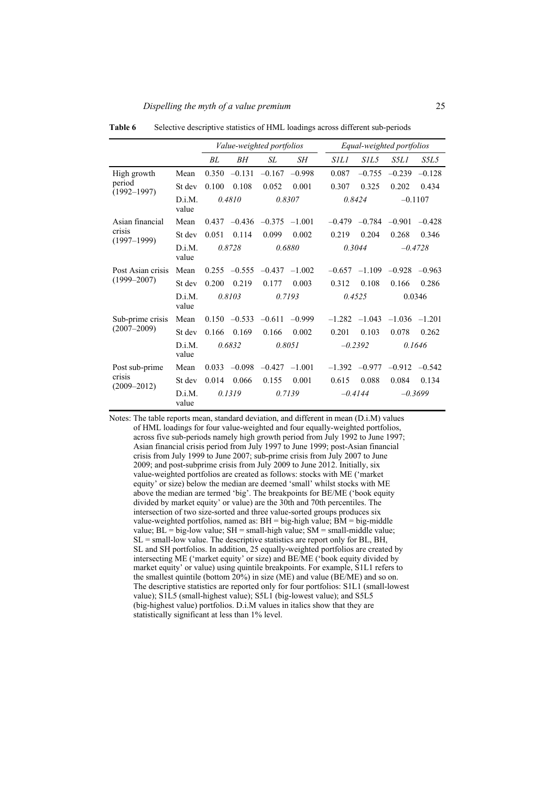|                                              |                 |       |                 | Value-weighted portfolios |          |             | Equal-weighted portfolios |           |           |
|----------------------------------------------|-----------------|-------|-----------------|---------------------------|----------|-------------|---------------------------|-----------|-----------|
|                                              |                 | BL    | BН              | SL                        | SН       | <i>SILI</i> | SIL5                      | S5L1      | S5L5      |
| High growth                                  | Mean            | 0.350 | $-0.131$        | $-0.167$                  | $-0.998$ | 0.087       | $-0.755$                  | $-0.239$  | $-0.128$  |
| period<br>$(1992 - 1997)$                    | St dev          | 0.100 | 0.108           | 0.052                     | 0.001    | 0.307       | 0.325                     | 0.202     | 0.434     |
|                                              | D.i.M.<br>value |       | 0.4810          |                           | 0.8307   |             | 0.8424                    | $-0.1107$ |           |
| Asian financial<br>crisis<br>$(1997 - 1999)$ | Mean            | 0.437 | $-0.436 -0.375$ |                           | $-1.001$ |             | $-0.479$ $-0.784$         | $-0.901$  | $-0.428$  |
|                                              | St dev          | 0.051 | 0.114           | 0.099                     | 0.002    | 0.219       | 0.204                     | 0.268     | 0.346     |
|                                              | D.i.M.<br>value |       | 0.8728          |                           | 0.6880   |             | 0.3044                    |           | $-0.4728$ |
| Post Asian crisis                            | Mean            | 0.255 | $-0.555$        | $-0.437$                  | $-1.002$ | $-0.657$    | $-1.109$                  | $-0.928$  | $-0.963$  |
| $(1999 - 2007)$                              | St dev          | 0.200 | 0.219           | 0.177                     | 0.003    | 0.312       | 0.108                     | 0.166     | 0.286     |
|                                              | D.i.M.<br>value |       | 0.8103          | 0.7193                    |          | 0.4525      |                           | 0.0346    |           |
| Sub-prime crisis                             | Mean            | 0.150 | $-0.533$        | $-0.611$                  | $-0.999$ | $-1.282$    | $-1.043$                  | $-1.036$  | $-1.201$  |
| $(2007 - 2009)$                              | St dev          | 0.166 | 0.169           | 0.166                     | 0.002    | 0.201       | 0.103                     | 0.078     | 0.262     |
|                                              | D.i.M.<br>value |       | 0.6832          |                           | 0.8051   |             | $-0.2392$                 |           | 0.1646    |
| Post sub-prime                               | Mean            | 0.033 | $-0.098$        | $-0.427$                  | $-1.001$ | $-1.392$    | $-0.977$                  | $-0.912$  | $-0.542$  |
| crisis<br>$(2009 - 2012)$                    | St dev          | 0.014 | 0.066           | 0.155                     | 0.001    | 0.615       | 0.088                     | 0.084     | 0.134     |
|                                              | D.i.M.<br>value |       | 0.1319          |                           | 0.7139   |             | $-0.4144$                 |           | $-0.3699$ |

Table 6 Selective descriptive statistics of HML loadings across different sub-periods

Notes: The table reports mean, standard deviation, and different in mean (D.i.M) values of HML loadings for four value-weighted and four equally-weighted portfolios, across five sub-periods namely high growth period from July 1992 to June 1997; Asian financial crisis period from July 1997 to June 1999; post-Asian financial crisis from July 1999 to June 2007; sub-prime crisis from July 2007 to June 2009; and post-subprime crisis from July 2009 to June 2012. Initially, six value-weighted portfolios are created as follows: stocks with ME ('market equity' or size) below the median are deemed 'small' whilst stocks with ME above the median are termed 'big'. The breakpoints for BE/ME ('book equity divided by market equity' or value) are the 30th and 70th percentiles. The intersection of two size-sorted and three value-sorted groups produces six value-weighted portfolios, named as: BH = big-high value; BM = big-middle value;  $BL = big$ -low value;  $SH = small$ -high value;  $SM = small$ -middle value;  $SL =$  small-low value. The descriptive statistics are report only for BL, BH, SL and SH portfolios. In addition, 25 equally-weighted portfolios are created by intersecting ME ('market equity' or size) and BE/ME ('book equity divided by market equity' or value) using quintile breakpoints. For example, S1L1 refers to the smallest quintile (bottom  $20\%$ ) in size (ME) and value (BE/ME) and so on. The descriptive statistics are reported only for four portfolios: S1L1 (small-lowest value); S1L5 (small-highest value); S5L1 (big-lowest value); and S5L5 (big-highest value) portfolios. D.i.M values in italics show that they are statistically significant at less than 1% level.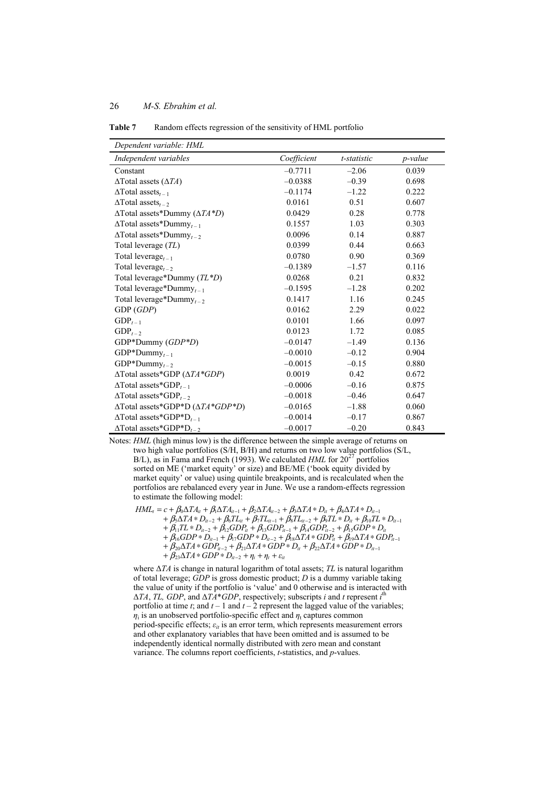| Table 7 | Random effects regression of the sensitivity of HML portfolio |  |  |  |
|---------|---------------------------------------------------------------|--|--|--|
|---------|---------------------------------------------------------------|--|--|--|

| Dependent variable: HML                              |             |             |         |
|------------------------------------------------------|-------------|-------------|---------|
| Independent variables                                | Coefficient | t-statistic | p-value |
| Constant                                             | $-0.7711$   | $-2.06$     | 0.039   |
| $\Delta \text{Total assets} (\Delta TA)$             | $-0.0388$   | $-0.39$     | 0.698   |
| $\Delta$ Total assets <sub>t-1</sub>                 | $-0.1174$   | $-1.22$     | 0.222   |
| $\Delta \text{Total assets}_{t-2}$                   | 0.0161      | 0.51        | 0.607   |
| $\Delta$ Total assets*Dummy ( $\Delta TA*D$ )        | 0.0429      | 0.28        | 0.778   |
| $\Delta$ Total assets*Dummy <sub>t-1</sub>           | 0.1557      | 1.03        | 0.303   |
| $\Delta$ Total assets*Dummy <sub>t-2</sub>           | 0.0096      | 0.14        | 0.887   |
| Total leverage ( <i>TL</i> )                         | 0.0399      | 0.44        | 0.663   |
| Total leverage <sub><math>t-1</math></sub>           | 0.0780      | 0.90        | 0.369   |
| Total leverage <sub><math>t-2</math></sub>           | $-0.1389$   | $-1.57$     | 0.116   |
| Total leverage*Dummy (TL*D)                          | 0.0268      | 0.21        | 0.832   |
| Total leverage*Dummy $_{t-1}$                        | $-0.1595$   | $-1.28$     | 0.202   |
| Total leverage*Dummy $_{t-2}$                        | 0.1417      | 1.16        | 0.245   |
| GDP(GDP)                                             | 0.0162      | 2.29        | 0.022   |
| $GDP_{t-1}$                                          | 0.0101      | 1.66        | 0.097   |
| $GDP_{t-2}$                                          | 0.0123      | 1.72        | 0.085   |
| $GDP^*Dummy(GDP^*D)$                                 | $-0.0147$   | $-1.49$     | 0.136   |
| GDP*Dummy $_{t-1}$                                   | $-0.0010$   | $-0.12$     | 0.904   |
| GDP*Dummy <sub>t-2</sub>                             | $-0.0015$   | $-0.15$     | 0.880   |
| $\Delta \text{Total assets*GDP} (\Delta TA*GDP)$     | 0.0019      | 0.42        | 0.672   |
| $\Delta \text{Total assets*GDP}_{t-1}$               | $-0.0006$   | $-0.16$     | 0.875   |
| $\Delta$ Total assets*GDP <sub>t-2</sub>             | $-0.0018$   | $-0.46$     | 0.647   |
| $\Delta \text{Total assets*GDP*D} (\Delta TA*GDP*D)$ | $-0.0165$   | $-1.88$     | 0.060   |
| $\Delta$ Total assets*GDP* $D_{t-1}$                 | $-0.0014$   | $-0.17$     | 0.867   |
| $\Delta \text{Total assets*GDP*D}_{t-2}$             | $-0.0017$   | $-0.20$     | 0.843   |

Notes: *HML* (high minus low) is the difference between the simple average of returns on two high value portfolios (S/H, B/H) and returns on two low value portfolios (S/L, B/L), as in Fama and French (1993). We calculated *HML* for 20<sup>27</sup> portfolios sorted on ME ('market equity' or size) and BE/ME ('book equity divided by market equity' or value) using quintile breakpoints, and is recalculated when the portfolios are rebalanced every year in June. We use a random-effects regression to estimate the following model:

 $\partial_0 \Delta I A_{it} + \rho_1 \Delta I A_{it-1} + \rho_2 \Delta I A_{it-2} + \rho_3 \Delta I A \cdot D_{it} + \rho_4 \Delta I A \cdot D_{it-1}$  $\mathcal{L}_5 \Delta I A * D_{it-2} + \mathcal{P}_6 I L_{it} + \mathcal{P}_7 I L_{it-1} + \mathcal{P}_8 I L_{it-2} + \mathcal{P}_9 I L * D_{it} + \mathcal{P}_{10} I L * D_{it-1}$  $\mu_{11}L \cdot \nu_{li-2} + \mu_{12}GDT_{li} + \mu_{13}GDT_{li-1} + \mu_{14}GDT_{li-2} + \mu_{15}$  $p_{16}$ GDF \*  $D_{it-1}$  +  $p_{17}$ GDF \*  $D_{it-2}$  +  $p_{1}$  $\Delta T A_{it} + \beta_1 \Delta T A_{it-1} + \beta_2 \Delta T A_{it-2} + \beta_3 \Delta T A * D_{it} + \beta_4 \Delta$  $a_i = c + \rho_0 \Delta T A_{ii} + \rho_1 \Delta T A_{ii-1} + \rho_2 \Delta T A_{ii-2} + \rho_3 \Delta T A * D_{ii} + \rho_4 \Delta T A * D_{ii}$ <br>+  $\beta_5 \Delta T A * D_{ii-2} + \beta_6 T L_{ii} + \beta_7 T L_{ii-1} + \beta_8 T L_{ii-2} + \beta_9 T L * D_{ii} + \beta_{10} T L * D_{ii}$  $\mu_{it-2} + \mu_6 I L_{it} + \mu_7 I L_{it-1} + \mu_8 I L_{it-2} + \mu_9 I L * L_{it} + \mu_{10} I L * L_{it}$  $\mu_{ii-2} + \mu_{12}$ GDT $_{it} + \mu_{13}$ GDT $_{it-1} + \mu_{14}$ GDT $_{it-2} + \mu_{15}$ GDT \* D $_{it}$  $p_{ii-1} + p_{17} G D P \cdot D_{ii}$  $HML_t = c + \beta_0 \Delta T A_{it} + \beta_1 \Delta T A_{it-1} + \beta_2 \Delta T A_{it-2} + \beta_3 \Delta T A * D_{it} + \beta_4 \Delta T A * D_{it}$  $TA * D_{it-2} + \beta_6 TL_{it} + \beta_7 TL_{it-1} + \beta_8 TL_{it-2} + \beta_9 TL * D_{it} + \beta_{10} TL * D_{it}$  $TL * D_{it-2} + \beta_{12} GDP_{it} + \beta_{13} GDP_{it-1} + \beta_{14} GDP_{it-2} + \beta_{15} GDP * D$  $GDP * D_{it-1} + \beta_{17} GDP * D$  $-1 + \frac{\mu_2 \Delta I A_{it-2} + \mu_3 \Delta I A \cdot D_{it} + \mu_4 \Delta I A \cdot D_{it-1}}{2}$  $-2 + p_6 L_{it} + p_7 L_{it-1} + p_8 L_{it-2} + p_9 L_{it} + p_{10} L_{it} + p_{it-1}$  $-2 + \mu_{12}$ U $\nu r_{it} + \mu_{13}$ U $\nu r_{it-1} + \mu_{14}$ U $\nu r_{it-1}$  $_{-1}$  +  $\rho_{\text{l}}$ 7 $\sigma$ Dr \*  $D_{it-}$  $=c+ \beta_0 \Delta T A_{it} + \beta_1 \Delta T A_{it-1} + \beta_2 \Delta T A_{it-2} + \beta_3 \Delta T A * D_{it} + \beta_4 \Delta T A *$  $+ \beta_5 \Delta T A * D_{it-2} + \beta_6 T L_{it} + \beta_7 T L_{it-1} + \beta_8 T L_{it-2} + \beta_9 T L * D_{it} + \beta_{10} T L *$  $+ \beta_{11}TL*D_{it-2} + \beta_{12}GDP_{it} + \beta_{13}GDP_{it-1} + \beta_{14}GDP_{it-2} + \beta_{15}GDP*$  $+ \beta_{16} GDP * D_{it-1} + \beta_{17} GDP * D_{it-2} +$  $\beta_0 \Delta T A_{it} + \beta_1 \Delta T A_{it-1} + \beta_2 \Delta T A_{it-2} + \beta_3 \Delta T A * D_{it} + \beta_i$  $\beta_5\Delta TA * D_{it-2} + \beta_6 TL_{it} + \beta_7 TL_{it-1} + \beta_8 TL_{it-2} + \beta_9 TL * D_{it} + \beta_9$  $\beta_{11}TL*D_{it-2} + \beta_{12}GDP_{it} + \beta_{13}GDP_{it-1} + \beta_{14}GDP_{it-2} + \beta_{1}$  $\beta_{16}GDP*D_{it-1} + \beta_{17}GDP*D_{it-2} + \beta_{18}\Delta TA*GDP_{it} + \beta_{19}\Delta TA*GDP_{it-1}$  $v_{20}\Delta I A * G D F_{it-2} + p_{21}\Delta I A * G D F * D_{it} + p_{22}\Delta I A * G D F * D_{it-1}$  $+\beta_{23}\Delta TA*GDP*D_{it-2} + \eta_i + \eta_t + \varepsilon_{it}$  $\Delta TA * GDP_{it} + \beta_{19}\Delta$  $+ \beta_{16} GDF * D_{ii-1} + p_{17} GDF * D_{ii-2} + p_{18} \Delta T A * GDF_{ii} + p_{19} \Delta T A * GDF_{ii}$ <br> $+ \beta_{20} \Delta T A * GDP_{ii-2} + \beta_{21} \Delta T A * GDP * D_{ii} + \beta_{22} \Delta T A * GDP * D_{ii-1}$  $I_{it-2}$  +  $\rho_{21}\Delta I A$  \*  $GDF$  \*  $D_{it}$  +  $\rho_{22}\Delta I A$  \*  $GDF$  \*  $D_{it}$  $TA * GDP_{it} + \beta_{19} \Delta TA * GDP_{it}$  $T_A * GDP_{it-1} + p_{17} GDP * D_{it-2} + p_{18} \Delta I A * GDP_{it} + p_{19} \Delta I A * GDP_{it-1}$ <br> $T_A * GDP_{it-2} + \beta_{21} \Delta T A * GDP * D_{it} + \beta_{22} \Delta T A * GDP * D_{it-1}$  $_{-2}$  +  $\rho_{21}$  $_{\Delta}$ I A \* UDF \*  $D_{it}$  +  $\rho_{22}$  $_{\Delta}$ I A \* UDF \*  $D_{it-}$ \*  $GDP_{it} + \beta_1 \circ \Delta TA *$  $+ \beta_{20} \Delta T A * GDP_{it-2} + \beta_{21} \Delta T A * GDP * D_{it} + \beta_{22} \Delta T A * GDP *$  $\beta$  $\beta_{20}\Delta TA*GDP_{it-2} + \beta_{21}\Delta TA*GDP*D_{it} + \beta_{2}$ 

where Δ*TA* is change in natural logarithm of total assets; *TL* is natural logarithm of total leverage; *GDP* is gross domestic product; *D* is a dummy variable taking the value of unity if the portfolio is 'value' and 0 otherwise and is interacted with Δ*TA*, *TL, GDP*, and Δ*TA*\**GDP*, respectively; subscripts *i* and *t* represent *i* th portfolio at time *t*; and  $t - 1$  and  $t - 2$  represent the lagged value of the variables;  $\eta_i$  is an unobserved portfolio-specific effect and  $\eta_t$  captures common period-specific effects; *εit* is an error term, which represents measurement errors and other explanatory variables that have been omitted and is assumed to be independently identical normally distributed with zero mean and constant variance. The columns report coefficients, *t*-statistics, and *p*-values.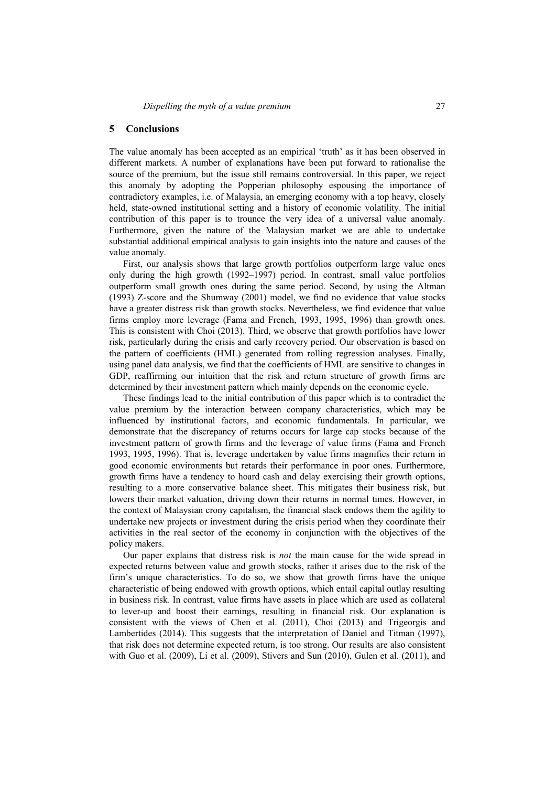#### **5 Conclusions**

The value anomaly has been accepted as an empirical 'truth' as it has been observed in different markets. A number of explanations have been put forward to rationalise the source of the premium, but the issue still remains controversial. In this paper, we reject this anomaly by adopting the Popperian philosophy espousing the importance of contradictory examples, i.e. of Malaysia, an emerging economy with a top heavy, closely held, state-owned institutional setting and a history of economic volatility. The initial contribution of this paper is to trounce the very idea of a universal value anomaly. Furthermore, given the nature of the Malaysian market we are able to undertake substantial additional empirical analysis to gain insights into the nature and causes of the value anomaly.

First, our analysis shows that large growth portfolios outperform large value ones only during the high growth (1992–1997) period. In contrast, small value portfolios outperform small growth ones during the same period. Second, by using the Altman (1993) Z-score and the Shumway (2001) model, we find no evidence that value stocks have a greater distress risk than growth stocks. Nevertheless, we find evidence that value firms employ more leverage (Fama and French, 1993, 1995, 1996) than growth ones. This is consistent with Choi (2013). Third, we observe that growth portfolios have lower risk, particularly during the crisis and early recovery period. Our observation is based on the pattern of coefficients (HML) generated from rolling regression analyses. Finally, using panel data analysis, we find that the coefficients of HML are sensitive to changes in GDP, reaffirming our intuition that the risk and return structure of growth firms are determined by their investment pattern which mainly depends on the economic cycle.

These findings lead to the initial contribution of this paper which is to contradict the value premium by the interaction between company characteristics, which may be influenced by institutional factors, and economic fundamentals. In particular, we demonstrate that the discrepancy of returns occurs for large cap stocks because of the investment pattern of growth firms and the leverage of value firms (Fama and French 1993, 1995, 1996). That is, leverage undertaken by value firms magnifies their return in good economic environments but retards their performance in poor ones. Furthermore, growth firms have a tendency to hoard cash and delay exercising their growth options, resulting to a more conservative balance sheet. This mitigates their business risk, but lowers their market valuation, driving down their returns in normal times. However, in the context of Malaysian crony capitalism, the financial slack endows them the agility to undertake new projects or investment during the crisis period when they coordinate their activities in the real sector of the economy in conjunction with the objectives of the policy makers.

Our paper explains that distress risk is *not* the main cause for the wide spread in expected returns between value and growth stocks, rather it arises due to the risk of the firm's unique characteristics. To do so, we show that growth firms have the unique characteristic of being endowed with growth options, which entail capital outlay resulting in business risk. In contrast, value firms have assets in place which are used as collateral to lever-up and boost their earnings, resulting in financial risk. Our explanation is consistent with the views of Chen et al. (2011), Choi (2013) and Trigeorgis and Lambertides (2014). This suggests that the interpretation of Daniel and Titman (1997), that risk does not determine expected return, is too strong. Our results are also consistent with Guo et al. (2009), Li et al. (2009), Stivers and Sun (2010), Gulen et al. (2011), and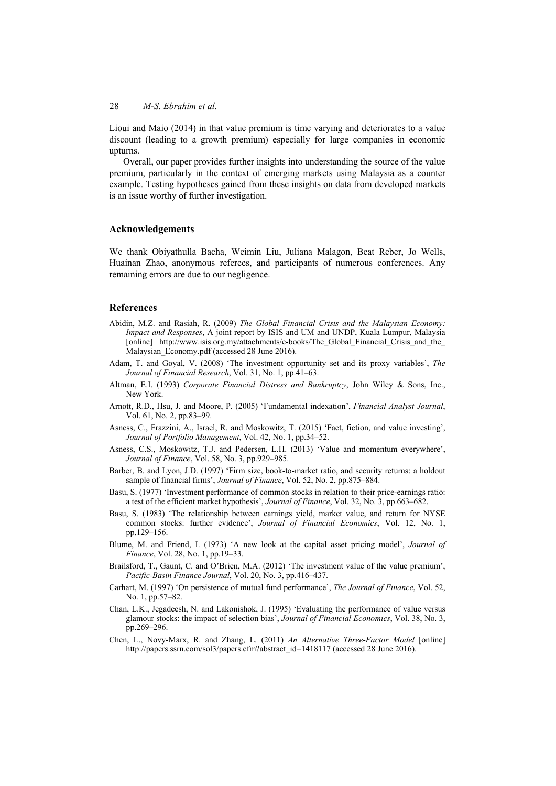Lioui and Maio (2014) in that value premium is time varying and deteriorates to a value discount (leading to a growth premium) especially for large companies in economic upturns.

Overall, our paper provides further insights into understanding the source of the value premium, particularly in the context of emerging markets using Malaysia as a counter example. Testing hypotheses gained from these insights on data from developed markets is an issue worthy of further investigation.

#### **Acknowledgements**

We thank Obiyathulla Bacha, Weimin Liu, Juliana Malagon, Beat Reber, Jo Wells, Huainan Zhao, anonymous referees, and participants of numerous conferences. Any remaining errors are due to our negligence.

## **References**

- Abidin, M.Z. and Rasiah, R. (2009) *The Global Financial Crisis and the Malaysian Economy: Impact and Responses*, A joint report by ISIS and UM and UNDP, Kuala Lumpur, Malaysia [online] http://www.isis.org.my/attachments/e-books/The Global Financial Crisis and the Malaysian\_Economy.pdf (accessed 28 June 2016).
- Adam, T. and Goyal, V. (2008) 'The investment opportunity set and its proxy variables', *The Journal of Financial Research*, Vol. 31, No. 1, pp.41–63.
- Altman, E.I. (1993) *Corporate Financial Distress and Bankruptcy*, John Wiley & Sons, Inc., New York.
- Arnott, R.D., Hsu, J. and Moore, P. (2005) 'Fundamental indexation', *Financial Analyst Journal*, Vol. 61, No. 2, pp.83–99.
- Asness, C., Frazzini, A., Israel, R. and Moskowitz, T. (2015) 'Fact, fiction, and value investing', *Journal of Portfolio Management*, Vol. 42, No. 1, pp.34–52.
- Asness, C.S., Moskowitz, T.J. and Pedersen, L.H. (2013) 'Value and momentum everywhere', *Journal of Finance*, Vol. 58, No. 3, pp.929–985.
- Barber, B. and Lyon, J.D. (1997) 'Firm size, book-to-market ratio, and security returns: a holdout sample of financial firms', *Journal of Finance*, Vol. 52, No. 2, pp.875–884.
- Basu, S. (1977) 'Investment performance of common stocks in relation to their price-earnings ratio: a test of the efficient market hypothesis', *Journal of Finance*, Vol. 32, No. 3, pp.663–682.
- Basu, S. (1983) 'The relationship between earnings yield, market value, and return for NYSE common stocks: further evidence', *Journal of Financial Economics*, Vol. 12, No. 1, pp.129–156.
- Blume, M. and Friend, I. (1973) 'A new look at the capital asset pricing model', *Journal of Finance*, Vol. 28, No. 1, pp.19–33.
- Brailsford, T., Gaunt, C. and O'Brien, M.A. (2012) 'The investment value of the value premium', *Pacific-Basin Finance Journal*, Vol. 20, No. 3, pp.416–437.
- Carhart, M. (1997) 'On persistence of mutual fund performance', *The Journal of Finance*, Vol. 52, No. 1, pp.57–82.
- Chan, L.K., Jegadeesh, N. and Lakonishok, J. (1995) 'Evaluating the performance of value versus glamour stocks: the impact of selection bias', *Journal of Financial Economics*, Vol. 38, No. 3, pp.269–296.
- Chen, L., Novy-Marx, R. and Zhang, L. (2011) *An Alternative Three-Factor Model* [online] http://papers.ssrn.com/sol3/papers.cfm?abstract\_id=1418117 (accessed 28 June 2016).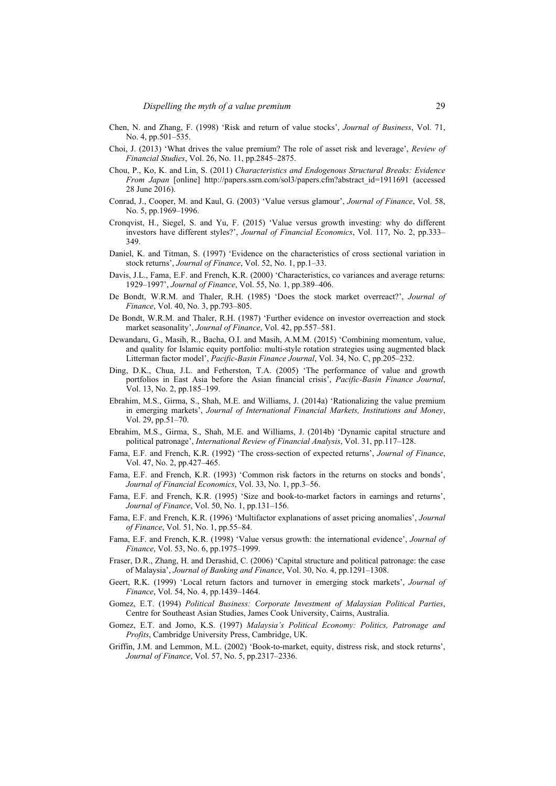- Chen, N. and Zhang, F. (1998) 'Risk and return of value stocks', *Journal of Business*, Vol. 71, No. 4, pp.501–535.
- Choi, J. (2013) 'What drives the value premium? The role of asset risk and leverage', *Review of Financial Studies*, Vol. 26, No. 11, pp.2845–2875.
- Chou, P., Ko, K. and Lin, S. (2011) *Characteristics and Endogenous Structural Breaks: Evidence From Japan* [online] http://papers.ssrn.com/sol3/papers.cfm?abstract\_id=1911691 (accessed 28 June 2016).
- Conrad, J., Cooper, M. and Kaul, G. (2003) 'Value versus glamour', *Journal of Finance*, Vol. 58, No. 5, pp.1969–1996.
- Cronqvist, H., Siegel, S. and Yu, F. (2015) 'Value versus growth investing: why do different investors have different styles?', *Journal of Financial Economics*, Vol. 117, No. 2, pp.333– 349.
- Daniel, K. and Titman, S. (1997) 'Evidence on the characteristics of cross sectional variation in stock returns', *Journal of Finance*, Vol. 52, No. 1, pp.1–33.
- Davis, J.L., Fama, E.F. and French, K.R. (2000) 'Characteristics, co variances and average returns: 1929–1997', *Journal of Finance*, Vol. 55, No. 1, pp.389–406.
- De Bondt, W.R.M. and Thaler, R.H. (1985) 'Does the stock market overreact?', *Journal of Finance*, Vol. 40, No. 3, pp.793–805.
- De Bondt, W.R.M. and Thaler, R.H. (1987) 'Further evidence on investor overreaction and stock market seasonality', *Journal of Finance*, Vol. 42, pp.557–581.
- Dewandaru, G., Masih, R., Bacha, O.I. and Masih, A.M.M. (2015) 'Combining momentum, value, and quality for Islamic equity portfolio: multi-style rotation strategies using augmented black Litterman factor model', *Pacific-Basin Finance Journal*, Vol. 34, No. C, pp.205–232.
- Ding, D.K., Chua, J.L. and Fetherston, T.A. (2005) 'The performance of value and growth portfolios in East Asia before the Asian financial crisis', *Pacific-Basin Finance Journal*, Vol. 13, No. 2, pp.185–199.
- Ebrahim, M.S., Girma, S., Shah, M.E. and Williams, J. (2014a) 'Rationalizing the value premium in emerging markets', *Journal of International Financial Markets, Institutions and Money*, Vol. 29, pp.51–70.
- Ebrahim, M.S., Girma, S., Shah, M.E. and Williams, J. (2014b) 'Dynamic capital structure and political patronage', *International Review of Financial Analysis*, Vol. 31, pp.117–128.
- Fama, E.F. and French, K.R. (1992) 'The cross-section of expected returns', *Journal of Finance*, Vol. 47, No. 2, pp.427–465.
- Fama, E.F. and French, K.R. (1993) 'Common risk factors in the returns on stocks and bonds', *Journal of Financial Economics*, Vol. 33, No. 1, pp.3–56.
- Fama, E.F. and French, K.R. (1995) 'Size and book-to-market factors in earnings and returns', *Journal of Finance*, Vol. 50, No. 1, pp.131–156.
- Fama, E.F. and French, K.R. (1996) 'Multifactor explanations of asset pricing anomalies', *Journal of Finance*, Vol. 51, No. 1, pp.55–84.
- Fama, E.F. and French, K.R. (1998) 'Value versus growth: the international evidence', *Journal of Finance*, Vol. 53, No. 6, pp.1975–1999.
- Fraser, D.R., Zhang, H. and Derashid, C. (2006) 'Capital structure and political patronage: the case of Malaysia', *Journal of Banking and Finance*, Vol. 30, No. 4, pp.1291–1308.
- Geert, R.K. (1999) 'Local return factors and turnover in emerging stock markets', *Journal of Finance*, Vol. 54, No. 4, pp.1439–1464.
- Gomez, E.T. (1994) *Political Business: Corporate Investment of Malaysian Political Parties*, Centre for Southeast Asian Studies, James Cook University, Cairns, Australia.
- Gomez, E.T. and Jomo, K.S. (1997) *Malaysia's Political Economy: Politics, Patronage and Profits*, Cambridge University Press, Cambridge, UK.
- Griffin, J.M. and Lemmon, M.L. (2002) 'Book-to-market, equity, distress risk, and stock returns', *Journal of Finance*, Vol. 57, No. 5, pp.2317–2336.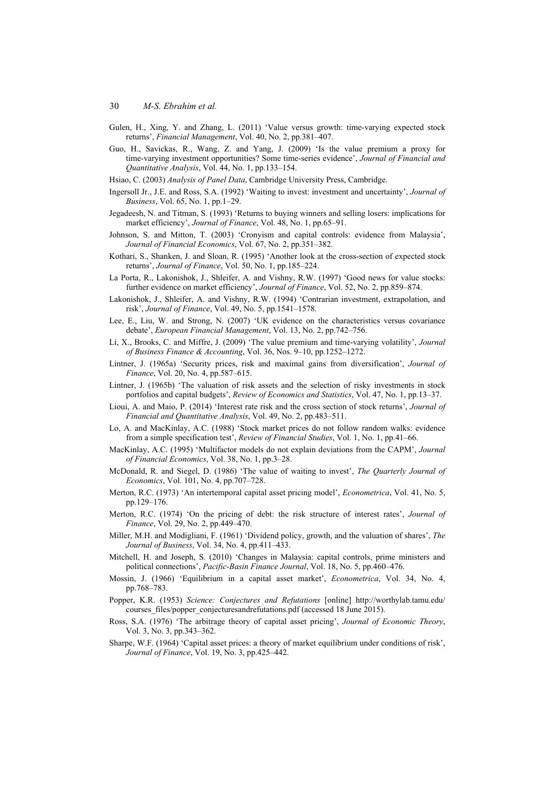- Gulen, H., Xing, Y. and Zhang, L. (2011) 'Value versus growth: time-varying expected stock returns', *Financial Management*, Vol. 40, No. 2, pp.381–407.
- Guo, H., Savickas, R., Wang, Z. and Yang, J. (2009) 'Is the value premium a proxy for time-varying investment opportunities? Some time-series evidence', *Journal of Financial and Quantitative Analysis*, Vol. 44, No. 1, pp.133–154.
- Hsiao, C. (2003) *Analysis of Panel Data*, Cambridge University Press, Cambridge.
- Ingersoll Jr., J.E. and Ross, S.A. (1992) 'Waiting to invest: investment and uncertainty', *Journal of Business*, Vol. 65, No. 1, pp.1–29.
- Jegadeesh, N. and Titman, S. (1993) 'Returns to buying winners and selling losers: implications for market efficiency', *Journal of Finance*, Vol. 48, No. 1, pp.65–91.
- Johnson, S. and Mitton, T. (2003) 'Cronyism and capital controls: evidence from Malaysia', *Journal of Financial Economics*, Vol. 67, No. 2, pp.351–382.
- Kothari, S., Shanken, J. and Sloan, R. (1995) 'Another look at the cross-section of expected stock returns', *Journal of Finance*, Vol. 50, No. 1, pp.185–224.
- La Porta, R., Lakonishok, J., Shleifer, A. and Vishny, R.W. (1997) 'Good news for value stocks: further evidence on market efficiency', *Journal of Finance*, Vol. 52, No. 2, pp.859–874.
- Lakonishok, J., Shleifer, A. and Vishny, R.W. (1994) 'Contrarian investment, extrapolation, and risk', *Journal of Finance*, Vol. 49, No. 5, pp.1541–1578.
- Lee, E., Liu, W. and Strong, N. (2007) 'UK evidence on the characteristics versus covariance debate', *European Financial Management*, Vol. 13, No. 2, pp.742–756.
- Li, X., Brooks, C. and Miffre, J. (2009) 'The value premium and time-varying volatility', *Journal of Business Finance & Accounting*, Vol. 36, Nos. 9–10, pp.1252–1272.
- Lintner, J. (1965a) 'Security prices, risk and maximal gains from diversification', *Journal of Finance*, Vol. 20, No. 4, pp.587–615.
- Lintner, J. (1965b) 'The valuation of risk assets and the selection of risky investments in stock portfolios and capital budgets', *Review of Economics and Statistics*, Vol. 47, No. 1, pp.13–37.
- Lioui, A. and Maio, P. (2014) 'Interest rate risk and the cross section of stock returns', *Journal of Financial and Quantitative Analysis*, Vol. 49, No. 2, pp.483–511.
- Lo, A. and MacKinlay, A.C. (1988) 'Stock market prices do not follow random walks: evidence from a simple specification test', *Review of Financial Studies*, Vol. 1, No. 1, pp.41–66.
- MacKinlay, A.C. (1995) 'Multifactor models do not explain deviations from the CAPM', *Journal of Financial Economics*, Vol. 38, No. 1, pp.3–28.
- McDonald, R. and Siegel, D. (1986) 'The value of waiting to invest', *The Quarterly Journal of Economics*, Vol. 101, No. 4, pp.707–728.
- Merton, R.C. (1973) 'An intertemporal capital asset pricing model', *Econometrica*, Vol. 41, No. 5, pp.129–176.
- Merton, R.C. (1974) 'On the pricing of debt: the risk structure of interest rates', *Journal of Finance*, Vol. 29, No. 2, pp.449–470.
- Miller, M.H. and Modigliani, F. (1961) 'Dividend policy, growth, and the valuation of shares', *The Journal of Business*, Vol. 34, No. 4, pp.411–433.
- Mitchell, H. and Joseph, S. (2010) 'Changes in Malaysia: capital controls, prime ministers and political connections', *Pacific-Basin Finance Journal*, Vol. 18, No. 5, pp.460–476.
- Mossin, J. (1966) 'Equilibrium in a capital asset market', *Econometrica*, Vol. 34, No. 4, pp.768–783.
- Popper, K.R. (1953) *Science: Conjectures and Refutations* [online] http://worthylab.tamu.edu/ courses files/popper conjecturesandrefutations.pdf (accessed 18 June 2015).
- Ross, S.A. (1976) 'The arbitrage theory of capital asset pricing', *Journal of Economic Theory*, Vol. 3, No. 3, pp.343–362.
- Sharpe, W.F. (1964) 'Capital asset prices: a theory of market equilibrium under conditions of risk', *Journal of Finance*, Vol. 19, No. 3, pp.425–442.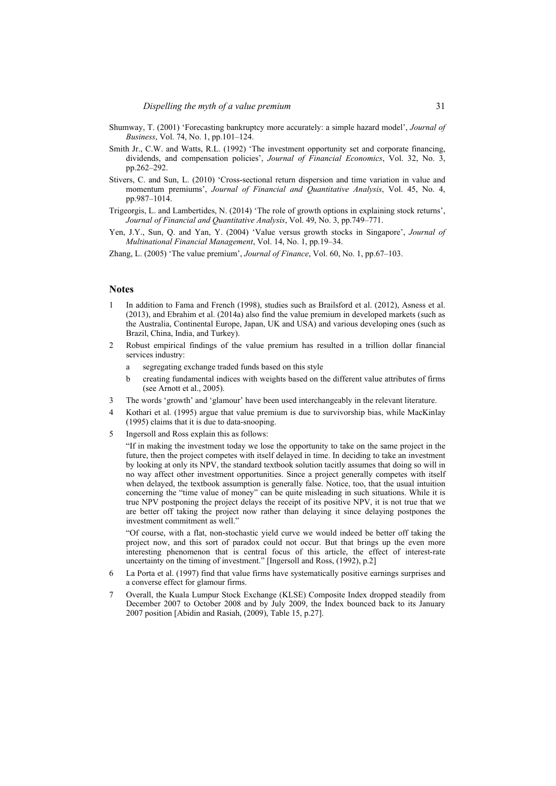- Shumway, T. (2001) 'Forecasting bankruptcy more accurately: a simple hazard model', *Journal of Business*, Vol. 74, No. 1, pp.101–124.
- Smith Jr., C.W. and Watts, R.L. (1992) 'The investment opportunity set and corporate financing, dividends, and compensation policies', *Journal of Financial Economics*, Vol. 32, No. 3, pp.262–292.
- Stivers, C. and Sun, L. (2010) 'Cross-sectional return dispersion and time variation in value and momentum premiums', *Journal of Financial and Quantitative Analysis*, Vol. 45, No. 4, pp.987–1014.
- Trigeorgis, L. and Lambertides, N. (2014) 'The role of growth options in explaining stock returns', *Journal of Financial and Quantitative Analysis*, Vol. 49, No. 3, pp.749–771.
- Yen, J.Y., Sun, Q. and Yan, Y. (2004) 'Value versus growth stocks in Singapore', *Journal of Multinational Financial Management*, Vol. 14, No. 1, pp.19–34.
- Zhang, L. (2005) 'The value premium', *Journal of Finance*, Vol. 60, No. 1, pp.67–103.

## **Notes**

- 1 In addition to Fama and French (1998), studies such as Brailsford et al. (2012), Asness et al. (2013), and Ebrahim et al. (2014a) also find the value premium in developed markets (such as the Australia, Continental Europe, Japan, UK and USA) and various developing ones (such as Brazil, China, India, and Turkey).
- 2 Robust empirical findings of the value premium has resulted in a trillion dollar financial services industry:
	- a segregating exchange traded funds based on this style
	- b creating fundamental indices with weights based on the different value attributes of firms (see Arnott et al., 2005).
- 3 The words 'growth' and 'glamour' have been used interchangeably in the relevant literature.
- 4 Kothari et al. (1995) argue that value premium is due to survivorship bias, while MacKinlay (1995) claims that it is due to data-snooping.
- 5 Ingersoll and Ross explain this as follows:

"If in making the investment today we lose the opportunity to take on the same project in the future, then the project competes with itself delayed in time. In deciding to take an investment by looking at only its NPV, the standard textbook solution tacitly assumes that doing so will in no way affect other investment opportunities. Since a project generally competes with itself when delayed, the textbook assumption is generally false. Notice, too, that the usual intuition concerning the "time value of money" can be quite misleading in such situations. While it is true NPV postponing the project delays the receipt of its positive NPV, it is not true that we are better off taking the project now rather than delaying it since delaying postpones the investment commitment as well."

"Of course, with a flat, non-stochastic yield curve we would indeed be better off taking the project now, and this sort of paradox could not occur. But that brings up the even more interesting phenomenon that is central focus of this article, the effect of interest-rate uncertainty on the timing of investment." [Ingersoll and Ross, (1992), p.2]

- 6 La Porta et al. (1997) find that value firms have systematically positive earnings surprises and a converse effect for glamour firms.
- 7 Overall, the Kuala Lumpur Stock Exchange (KLSE) Composite Index dropped steadily from December 2007 to October 2008 and by July 2009, the Index bounced back to its January 2007 position [Abidin and Rasiah, (2009), Table 15, p.27].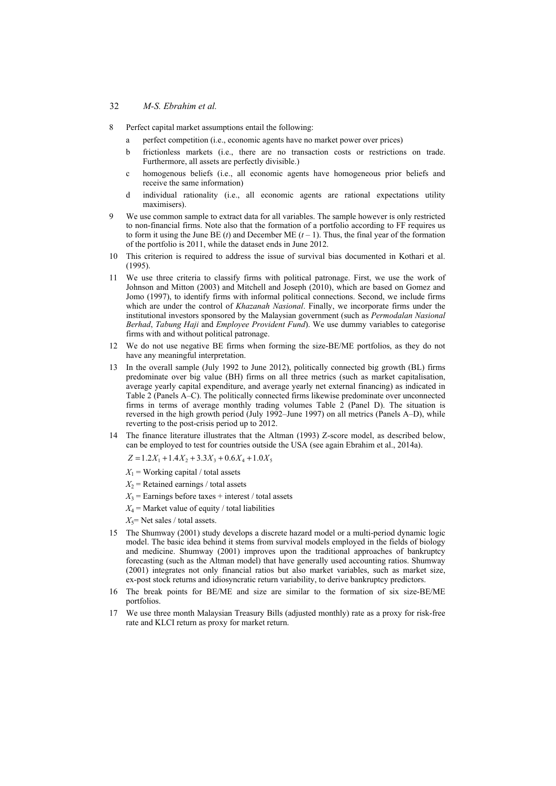- 8 Perfect capital market assumptions entail the following:
	- a perfect competition (i.e., economic agents have no market power over prices)
	- b frictionless markets (i.e., there are no transaction costs or restrictions on trade. Furthermore, all assets are perfectly divisible.)
	- c homogenous beliefs (i.e., all economic agents have homogeneous prior beliefs and receive the same information)
	- d individual rationality (i.e., all economic agents are rational expectations utility maximisers).
- 9 We use common sample to extract data for all variables. The sample however is only restricted to non-financial firms. Note also that the formation of a portfolio according to FF requires us to form it using the June BE  $(t)$  and December ME  $(t-1)$ . Thus, the final year of the formation of the portfolio is 2011, while the dataset ends in June 2012.
- 10 This criterion is required to address the issue of survival bias documented in Kothari et al. (1995).
- 11 We use three criteria to classify firms with political patronage. First, we use the work of Johnson and Mitton (2003) and Mitchell and Joseph (2010), which are based on Gomez and Jomo (1997), to identify firms with informal political connections. Second, we include firms which are under the control of *Khazanah Nasional*. Finally, we incorporate firms under the institutional investors sponsored by the Malaysian government (such as *Permodalan Nasional Berhad*, *Tabung Haji* and *Employee Provident Fund*). We use dummy variables to categorise firms with and without political patronage.
- 12 We do not use negative BE firms when forming the size-BE/ME portfolios, as they do not have any meaningful interpretation.
- 13 In the overall sample (July 1992 to June 2012), politically connected big growth (BL) firms predominate over big value (BH) firms on all three metrics (such as market capitalisation, average yearly capital expenditure, and average yearly net external financing) as indicated in Table 2 (Panels A–C). The politically connected firms likewise predominate over unconnected firms in terms of average monthly trading volumes Table 2 (Panel D). The situation is reversed in the high growth period (July 1992–June 1997) on all metrics (Panels A–D), while reverting to the post-crisis period up to 2012.
- 14 The finance literature illustrates that the Altman (1993) Z-score model, as described below, can be employed to test for countries outside the USA (see again Ebrahim et al., 2014a).
	- $Z = 1.2 X_1 + 1.4 X_2 + 3.3 X_3 + 0.6 X_4 + 1.0 X_5$
	- $X_1$  = Working capital / total assets
	- $X_2$  = Retained earnings / total assets
	- $X_3$  = Earnings before taxes + interest / total assets
	- $X_4$  = Market value of equity / total liabilities
	- $X_5$ = Net sales / total assets.
- 15 The Shumway (2001) study develops a discrete hazard model or a multi-period dynamic logic model. The basic idea behind it stems from survival models employed in the fields of biology and medicine. Shumway (2001) improves upon the traditional approaches of bankruptcy forecasting (such as the Altman model) that have generally used accounting ratios. Shumway (2001) integrates not only financial ratios but also market variables, such as market size, ex-post stock returns and idiosyncratic return variability, to derive bankruptcy predictors.
- 16 The break points for BE/ME and size are similar to the formation of six size-BE/ME portfolios.
- 17 We use three month Malaysian Treasury Bills (adjusted monthly) rate as a proxy for risk-free rate and KLCI return as proxy for market return.